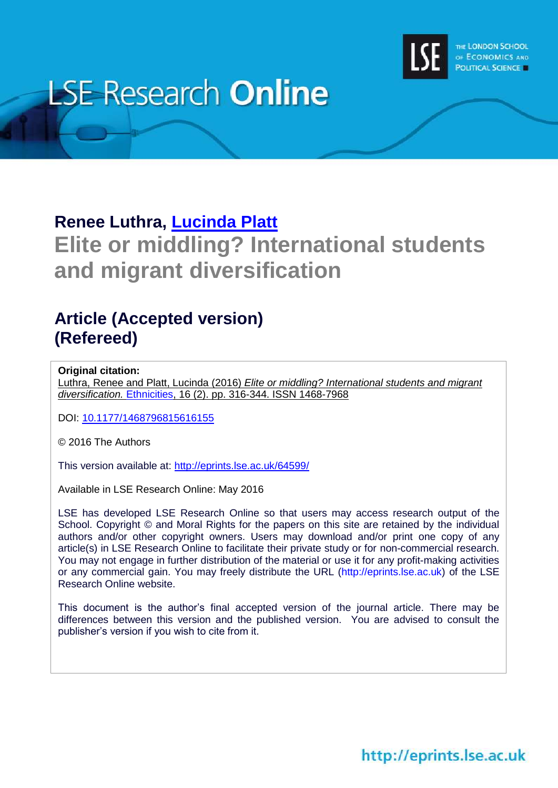

# **LSE Research Online**

## **Renee Luthra, [Lucinda Platt](http://www.lse.ac.uk/researchAndExpertise/Experts/profile.aspx?KeyValue=l.platt@lse.ac.uk)**

# **Elite or middling? International students and migrant diversification**

### **Article (Accepted version) (Refereed)**

#### **Original citation:**

Luthra, Renee and Platt, Lucinda (2016) *Elite or middling? International students and migrant diversification.* [Ethnicities,](http://etn.sagepub.com/) 16 (2). pp. 316-344. ISSN 1468-7968

DOI: [10.1177/1468796815616155](http://dx.doi.org/10.1177/1468796815616155)

© 2016 The Authors

This version available at:<http://eprints.lse.ac.uk/64599/>

Available in LSE Research Online: May 2016

LSE has developed LSE Research Online so that users may access research output of the School. Copyright © and Moral Rights for the papers on this site are retained by the individual authors and/or other copyright owners. Users may download and/or print one copy of any article(s) in LSE Research Online to facilitate their private study or for non-commercial research. You may not engage in further distribution of the material or use it for any profit-making activities or any commercial gain. You may freely distribute the URL (http://eprints.lse.ac.uk) of the LSE Research Online website.

This document is the author's final accepted version of the journal article. There may be differences between this version and the published version. You are advised to consult the publisher's version if you wish to cite from it.

http://eprints.lse.ac.uk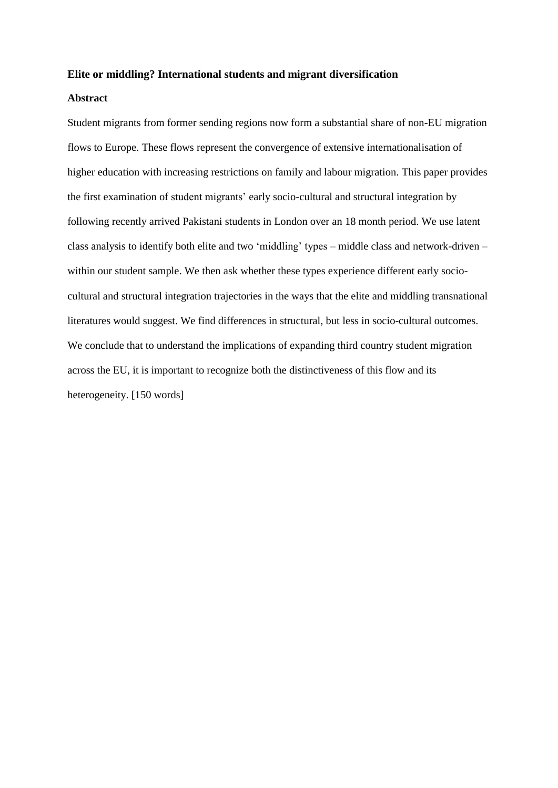#### **Elite or middling? International students and migrant diversification**

#### **Abstract**

Student migrants from former sending regions now form a substantial share of non-EU migration flows to Europe. These flows represent the convergence of extensive internationalisation of higher education with increasing restrictions on family and labour migration. This paper provides the first examination of student migrants' early socio-cultural and structural integration by following recently arrived Pakistani students in London over an 18 month period. We use latent class analysis to identify both elite and two 'middling' types – middle class and network-driven – within our student sample. We then ask whether these types experience different early sociocultural and structural integration trajectories in the ways that the elite and middling transnational literatures would suggest. We find differences in structural, but less in socio-cultural outcomes. We conclude that to understand the implications of expanding third country student migration across the EU, it is important to recognize both the distinctiveness of this flow and its heterogeneity. [150 words]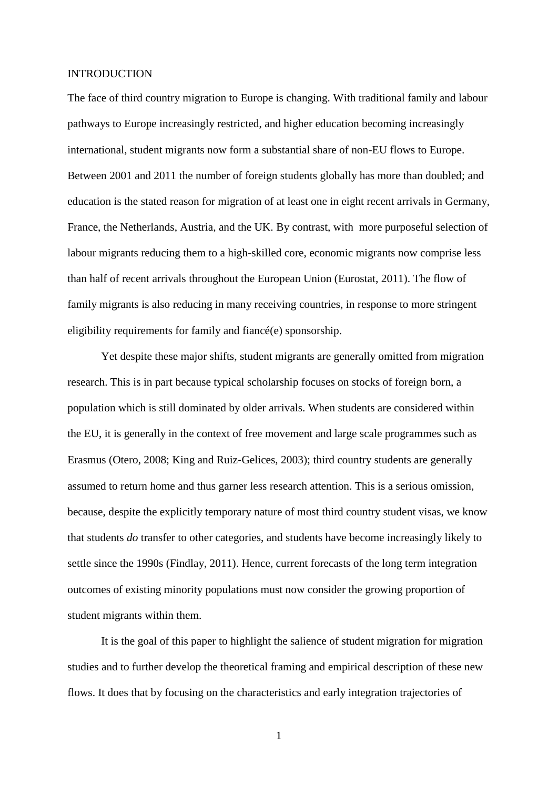#### INTRODUCTION

The face of third country migration to Europe is changing. With traditional family and labour pathways to Europe increasingly restricted, and higher education becoming increasingly international, student migrants now form a substantial share of non-EU flows to Europe. Between 2001 and 2011 the number of foreign students globally has more than doubled; and education is the stated reason for migration of at least one in eight recent arrivals in Germany, France, the Netherlands, Austria, and the UK. By contrast, with more purposeful selection of labour migrants reducing them to a high-skilled core, economic migrants now comprise less than half of recent arrivals throughout the European Union (Eurostat, 2011). The flow of family migrants is also reducing in many receiving countries, in response to more stringent eligibility requirements for family and fiancé(e) sponsorship.

Yet despite these major shifts, student migrants are generally omitted from migration research. This is in part because typical scholarship focuses on stocks of foreign born, a population which is still dominated by older arrivals. When students are considered within the EU, it is generally in the context of free movement and large scale programmes such as Erasmus (Otero, 2008; King and Ruiz‐Gelices, 2003); third country students are generally assumed to return home and thus garner less research attention. This is a serious omission, because, despite the explicitly temporary nature of most third country student visas, we know that students *do* transfer to other categories, and students have become increasingly likely to settle since the 1990s (Findlay, 2011). Hence, current forecasts of the long term integration outcomes of existing minority populations must now consider the growing proportion of student migrants within them.

It is the goal of this paper to highlight the salience of student migration for migration studies and to further develop the theoretical framing and empirical description of these new flows. It does that by focusing on the characteristics and early integration trajectories of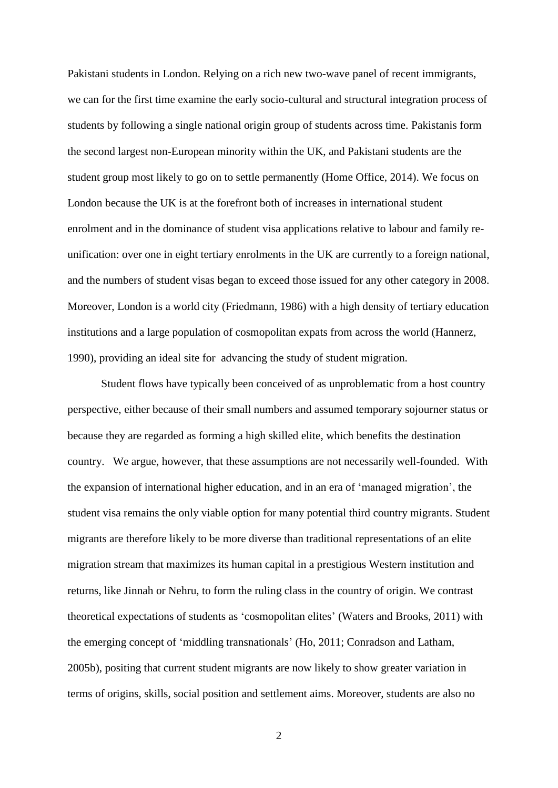Pakistani students in London. Relying on a rich new two-wave panel of recent immigrants, we can for the first time examine the early socio-cultural and structural integration process of students by following a single national origin group of students across time. Pakistanis form the second largest non-European minority within the UK, and Pakistani students are the student group most likely to go on to settle permanently (Home Office, 2014). We focus on London because the UK is at the forefront both of increases in international student enrolment and in the dominance of student visa applications relative to labour and family reunification: over one in eight tertiary enrolments in the UK are currently to a foreign national, and the numbers of student visas began to exceed those issued for any other category in 2008. Moreover, London is a world city (Friedmann, 1986) with a high density of tertiary education institutions and a large population of cosmopolitan expats from across the world (Hannerz, 1990), providing an ideal site for advancing the study of student migration.

Student flows have typically been conceived of as unproblematic from a host country perspective, either because of their small numbers and assumed temporary sojourner status or because they are regarded as forming a high skilled elite, which benefits the destination country. We argue, however, that these assumptions are not necessarily well-founded. With the expansion of international higher education, and in an era of 'managed migration', the student visa remains the only viable option for many potential third country migrants. Student migrants are therefore likely to be more diverse than traditional representations of an elite migration stream that maximizes its human capital in a prestigious Western institution and returns, like Jinnah or Nehru, to form the ruling class in the country of origin. We contrast theoretical expectations of students as 'cosmopolitan elites' (Waters and Brooks, 2011) with the emerging concept of 'middling transnationals' (Ho, 2011; Conradson and Latham, 2005b), positing that current student migrants are now likely to show greater variation in terms of origins, skills, social position and settlement aims. Moreover, students are also no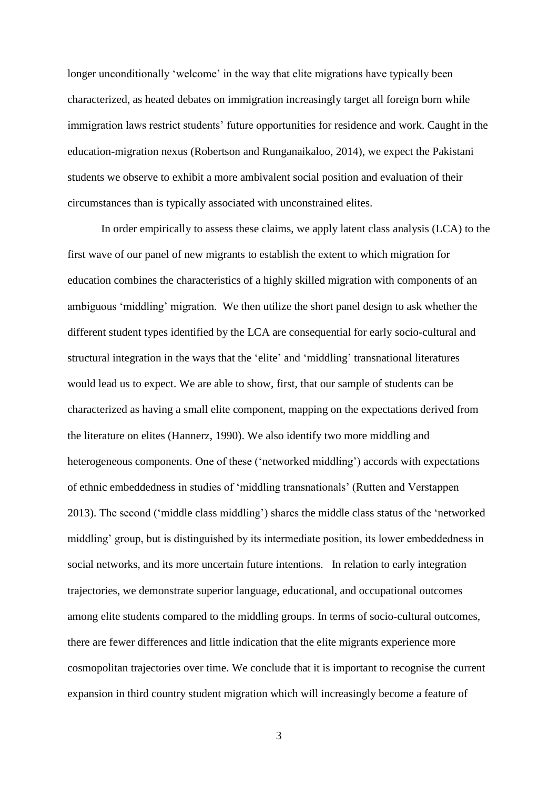longer unconditionally 'welcome' in the way that elite migrations have typically been characterized, as heated debates on immigration increasingly target all foreign born while immigration laws restrict students' future opportunities for residence and work. Caught in the education-migration nexus (Robertson and Runganaikaloo, 2014), we expect the Pakistani students we observe to exhibit a more ambivalent social position and evaluation of their circumstances than is typically associated with unconstrained elites.

In order empirically to assess these claims, we apply latent class analysis (LCA) to the first wave of our panel of new migrants to establish the extent to which migration for education combines the characteristics of a highly skilled migration with components of an ambiguous 'middling' migration. We then utilize the short panel design to ask whether the different student types identified by the LCA are consequential for early socio-cultural and structural integration in the ways that the 'elite' and 'middling' transnational literatures would lead us to expect. We are able to show, first, that our sample of students can be characterized as having a small elite component, mapping on the expectations derived from the literature on elites (Hannerz, 1990). We also identify two more middling and heterogeneous components. One of these ('networked middling') accords with expectations of ethnic embeddedness in studies of 'middling transnationals' (Rutten and Verstappen 2013). The second ('middle class middling') shares the middle class status of the 'networked middling' group, but is distinguished by its intermediate position, its lower embeddedness in social networks, and its more uncertain future intentions. In relation to early integration trajectories, we demonstrate superior language, educational, and occupational outcomes among elite students compared to the middling groups. In terms of socio-cultural outcomes, there are fewer differences and little indication that the elite migrants experience more cosmopolitan trajectories over time. We conclude that it is important to recognise the current expansion in third country student migration which will increasingly become a feature of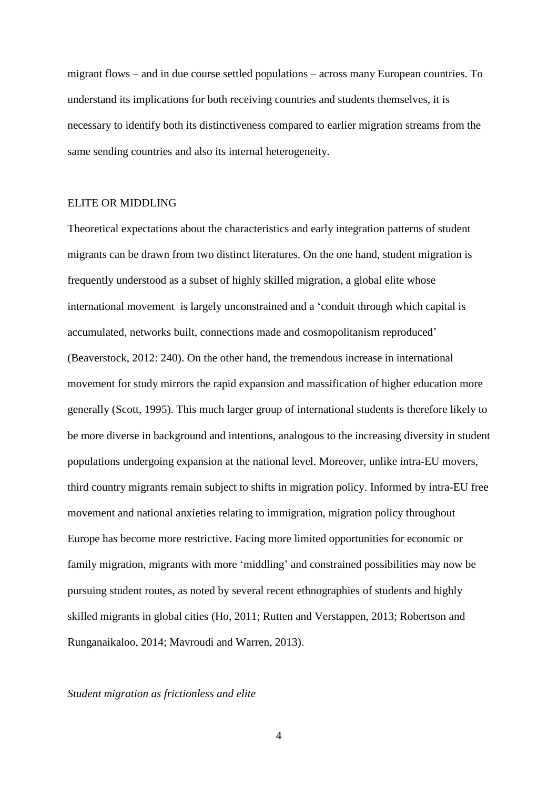migrant flows – and in due course settled populations – across many European countries. To understand its implications for both receiving countries and students themselves, it is necessary to identify both its distinctiveness compared to earlier migration streams from the same sending countries and also its internal heterogeneity.

#### ELITE OR MIDDLING

Theoretical expectations about the characteristics and early integration patterns of student migrants can be drawn from two distinct literatures. On the one hand, student migration is frequently understood as a subset of highly skilled migration, a global elite whose international movement is largely unconstrained and a 'conduit through which capital is accumulated, networks built, connections made and cosmopolitanism reproduced' (Beaverstock, 2012: 240). On the other hand, the tremendous increase in international movement for study mirrors the rapid expansion and massification of higher education more generally (Scott, 1995). This much larger group of international students is therefore likely to be more diverse in background and intentions, analogous to the increasing diversity in student populations undergoing expansion at the national level. Moreover, unlike intra-EU movers, third country migrants remain subject to shifts in migration policy. Informed by intra-EU free movement and national anxieties relating to immigration, migration policy throughout Europe has become more restrictive. Facing more limited opportunities for economic or family migration, migrants with more 'middling' and constrained possibilities may now be pursuing student routes, as noted by several recent ethnographies of students and highly skilled migrants in global cities (Ho, 2011; Rutten and Verstappen, 2013; Robertson and Runganaikaloo, 2014; Mavroudi and Warren, 2013).

#### *Student migration as frictionless and elite*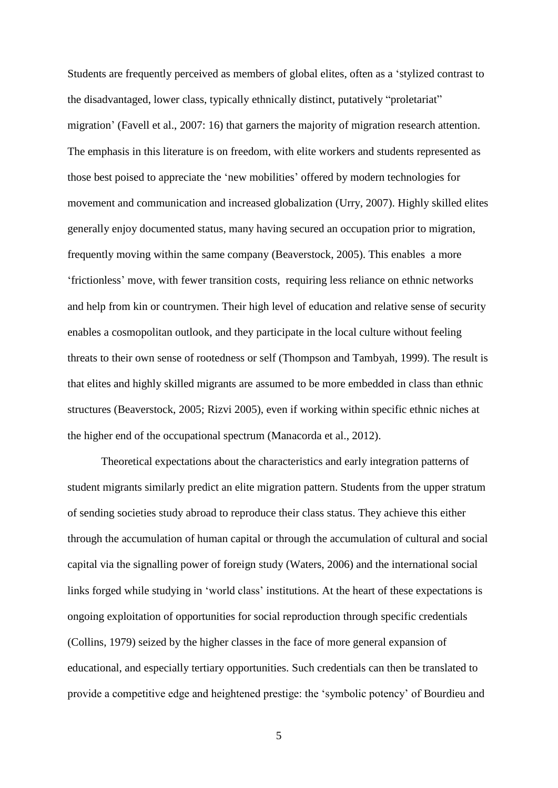Students are frequently perceived as members of global elites, often as a 'stylized contrast to the disadvantaged, lower class, typically ethnically distinct, putatively "proletariat" migration' (Favell et al., 2007: 16) that garners the majority of migration research attention. The emphasis in this literature is on freedom, with elite workers and students represented as those best poised to appreciate the 'new mobilities' offered by modern technologies for movement and communication and increased globalization (Urry, 2007). Highly skilled elites generally enjoy documented status, many having secured an occupation prior to migration, frequently moving within the same company (Beaverstock, 2005). This enables a more 'frictionless' move, with fewer transition costs, requiring less reliance on ethnic networks and help from kin or countrymen. Their high level of education and relative sense of security enables a cosmopolitan outlook, and they participate in the local culture without feeling threats to their own sense of rootedness or self (Thompson and Tambyah, 1999). The result is that elites and highly skilled migrants are assumed to be more embedded in class than ethnic structures (Beaverstock, 2005; Rizvi 2005), even if working within specific ethnic niches at the higher end of the occupational spectrum (Manacorda et al., 2012).

Theoretical expectations about the characteristics and early integration patterns of student migrants similarly predict an elite migration pattern. Students from the upper stratum of sending societies study abroad to reproduce their class status. They achieve this either through the accumulation of human capital or through the accumulation of cultural and social capital via the signalling power of foreign study (Waters, 2006) and the international social links forged while studying in 'world class' institutions. At the heart of these expectations is ongoing exploitation of opportunities for social reproduction through specific credentials (Collins, 1979) seized by the higher classes in the face of more general expansion of educational, and especially tertiary opportunities. Such credentials can then be translated to provide a competitive edge and heightened prestige: the 'symbolic potency' of Bourdieu and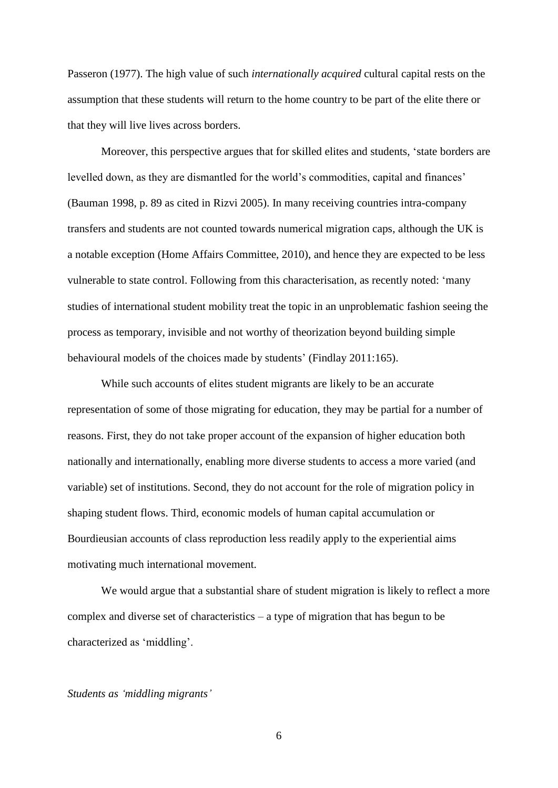Passeron (1977). The high value of such *internationally acquired* cultural capital rests on the assumption that these students will return to the home country to be part of the elite there or that they will live lives across borders.

Moreover, this perspective argues that for skilled elites and students, 'state borders are levelled down, as they are dismantled for the world's commodities, capital and finances' (Bauman 1998, p. 89 as cited in Rizvi 2005). In many receiving countries intra-company transfers and students are not counted towards numerical migration caps, although the UK is a notable exception (Home Affairs Committee, 2010), and hence they are expected to be less vulnerable to state control. Following from this characterisation, as recently noted: 'many studies of international student mobility treat the topic in an unproblematic fashion seeing the process as temporary, invisible and not worthy of theorization beyond building simple behavioural models of the choices made by students' (Findlay 2011:165).

While such accounts of elites student migrants are likely to be an accurate representation of some of those migrating for education, they may be partial for a number of reasons. First, they do not take proper account of the expansion of higher education both nationally and internationally, enabling more diverse students to access a more varied (and variable) set of institutions. Second, they do not account for the role of migration policy in shaping student flows. Third, economic models of human capital accumulation or Bourdieusian accounts of class reproduction less readily apply to the experiential aims motivating much international movement.

We would argue that a substantial share of student migration is likely to reflect a more complex and diverse set of characteristics – a type of migration that has begun to be characterized as 'middling'.

#### *Students as 'middling migrants'*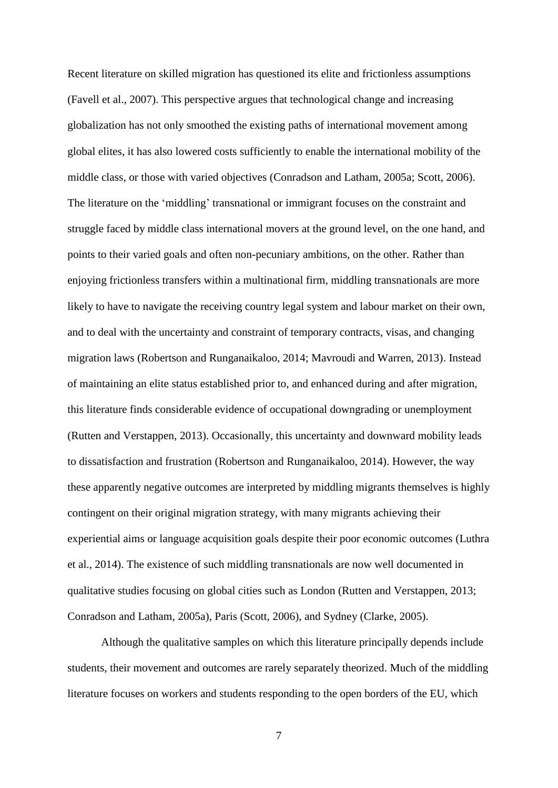Recent literature on skilled migration has questioned its elite and frictionless assumptions (Favell et al., 2007). This perspective argues that technological change and increasing globalization has not only smoothed the existing paths of international movement among global elites, it has also lowered costs sufficiently to enable the international mobility of the middle class, or those with varied objectives (Conradson and Latham, 2005a; Scott, 2006). The literature on the 'middling' transnational or immigrant focuses on the constraint and struggle faced by middle class international movers at the ground level, on the one hand, and points to their varied goals and often non-pecuniary ambitions, on the other. Rather than enjoying frictionless transfers within a multinational firm, middling transnationals are more likely to have to navigate the receiving country legal system and labour market on their own, and to deal with the uncertainty and constraint of temporary contracts, visas, and changing migration laws (Robertson and Runganaikaloo, 2014; Mavroudi and Warren, 2013). Instead of maintaining an elite status established prior to, and enhanced during and after migration, this literature finds considerable evidence of occupational downgrading or unemployment (Rutten and Verstappen, 2013). Occasionally, this uncertainty and downward mobility leads to dissatisfaction and frustration (Robertson and Runganaikaloo, 2014). However, the way these apparently negative outcomes are interpreted by middling migrants themselves is highly contingent on their original migration strategy, with many migrants achieving their experiential aims or language acquisition goals despite their poor economic outcomes (Luthra et al., 2014). The existence of such middling transnationals are now well documented in qualitative studies focusing on global cities such as London (Rutten and Verstappen, 2013; Conradson and Latham, 2005a), Paris (Scott, 2006), and Sydney (Clarke, 2005).

Although the qualitative samples on which this literature principally depends include students, their movement and outcomes are rarely separately theorized. Much of the middling literature focuses on workers and students responding to the open borders of the EU, which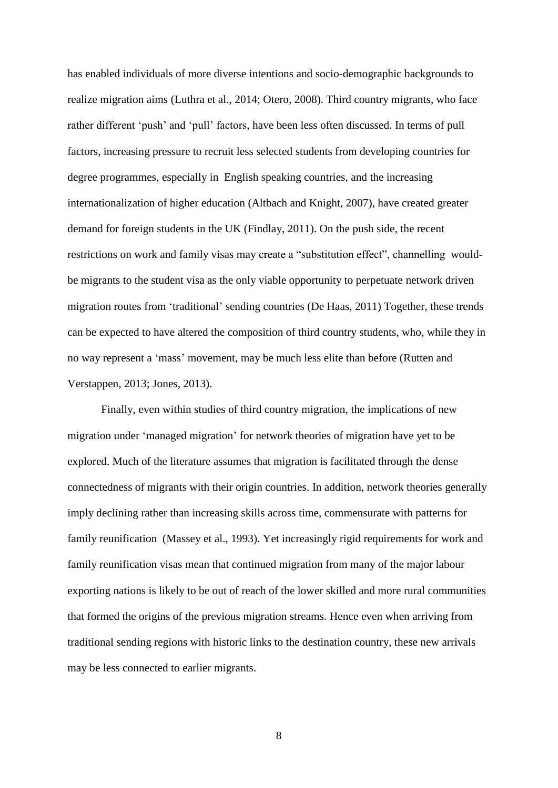has enabled individuals of more diverse intentions and socio-demographic backgrounds to realize migration aims (Luthra et al., 2014; Otero, 2008). Third country migrants, who face rather different 'push' and 'pull' factors, have been less often discussed. In terms of pull factors, increasing pressure to recruit less selected students from developing countries for degree programmes, especially in English speaking countries, and the increasing internationalization of higher education (Altbach and Knight, 2007), have created greater demand for foreign students in the UK (Findlay, 2011). On the push side, the recent restrictions on work and family visas may create a "substitution effect", channelling wouldbe migrants to the student visa as the only viable opportunity to perpetuate network driven migration routes from 'traditional' sending countries (De Haas, 2011) Together, these trends can be expected to have altered the composition of third country students, who, while they in no way represent a 'mass' movement, may be much less elite than before (Rutten and Verstappen, 2013; Jones, 2013).

Finally, even within studies of third country migration, the implications of new migration under 'managed migration' for network theories of migration have yet to be explored. Much of the literature assumes that migration is facilitated through the dense connectedness of migrants with their origin countries. In addition, network theories generally imply declining rather than increasing skills across time, commensurate with patterns for family reunification (Massey et al., 1993). Yet increasingly rigid requirements for work and family reunification visas mean that continued migration from many of the major labour exporting nations is likely to be out of reach of the lower skilled and more rural communities that formed the origins of the previous migration streams. Hence even when arriving from traditional sending regions with historic links to the destination country, these new arrivals may be less connected to earlier migrants.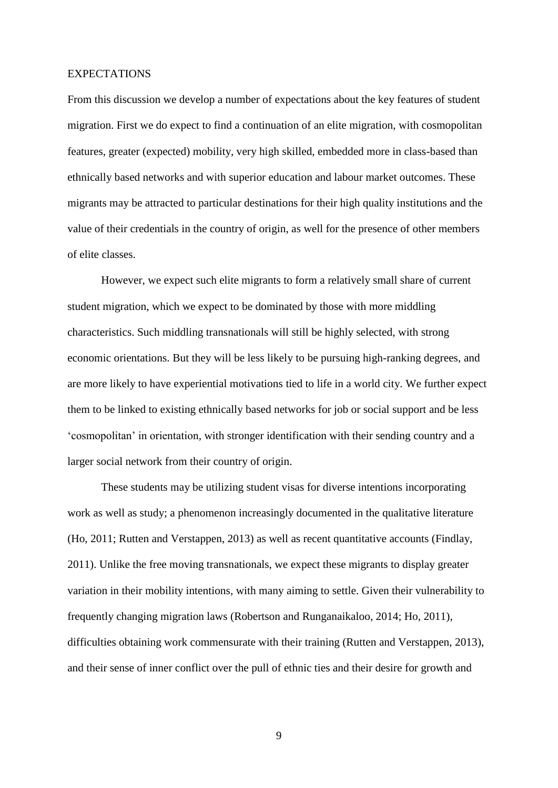#### EXPECTATIONS

From this discussion we develop a number of expectations about the key features of student migration. First we do expect to find a continuation of an elite migration, with cosmopolitan features, greater (expected) mobility, very high skilled, embedded more in class-based than ethnically based networks and with superior education and labour market outcomes. These migrants may be attracted to particular destinations for their high quality institutions and the value of their credentials in the country of origin, as well for the presence of other members of elite classes.

However, we expect such elite migrants to form a relatively small share of current student migration, which we expect to be dominated by those with more middling characteristics. Such middling transnationals will still be highly selected, with strong economic orientations. But they will be less likely to be pursuing high-ranking degrees, and are more likely to have experiential motivations tied to life in a world city. We further expect them to be linked to existing ethnically based networks for job or social support and be less 'cosmopolitan' in orientation, with stronger identification with their sending country and a larger social network from their country of origin.

These students may be utilizing student visas for diverse intentions incorporating work as well as study; a phenomenon increasingly documented in the qualitative literature (Ho, 2011; Rutten and Verstappen, 2013) as well as recent quantitative accounts (Findlay, 2011). Unlike the free moving transnationals, we expect these migrants to display greater variation in their mobility intentions, with many aiming to settle. Given their vulnerability to frequently changing migration laws (Robertson and Runganaikaloo, 2014; Ho, 2011), difficulties obtaining work commensurate with their training (Rutten and Verstappen, 2013), and their sense of inner conflict over the pull of ethnic ties and their desire for growth and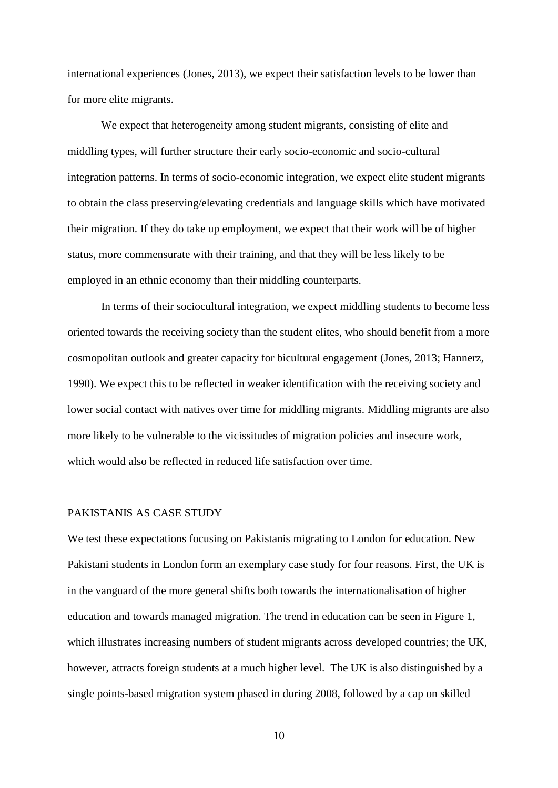international experiences (Jones, 2013), we expect their satisfaction levels to be lower than for more elite migrants.

We expect that heterogeneity among student migrants, consisting of elite and middling types, will further structure their early socio-economic and socio-cultural integration patterns. In terms of socio-economic integration, we expect elite student migrants to obtain the class preserving/elevating credentials and language skills which have motivated their migration. If they do take up employment, we expect that their work will be of higher status, more commensurate with their training, and that they will be less likely to be employed in an ethnic economy than their middling counterparts.

In terms of their sociocultural integration, we expect middling students to become less oriented towards the receiving society than the student elites, who should benefit from a more cosmopolitan outlook and greater capacity for bicultural engagement (Jones, 2013; Hannerz, 1990). We expect this to be reflected in weaker identification with the receiving society and lower social contact with natives over time for middling migrants. Middling migrants are also more likely to be vulnerable to the vicissitudes of migration policies and insecure work, which would also be reflected in reduced life satisfaction over time.

#### PAKISTANIS AS CASE STUDY

We test these expectations focusing on Pakistanis migrating to London for education. New Pakistani students in London form an exemplary case study for four reasons. First, the UK is in the vanguard of the more general shifts both towards the internationalisation of higher education and towards managed migration. The trend in education can be seen in Figure 1, which illustrates increasing numbers of student migrants across developed countries; the UK, however, attracts foreign students at a much higher level. The UK is also distinguished by a single points-based migration system phased in during 2008, followed by a cap on skilled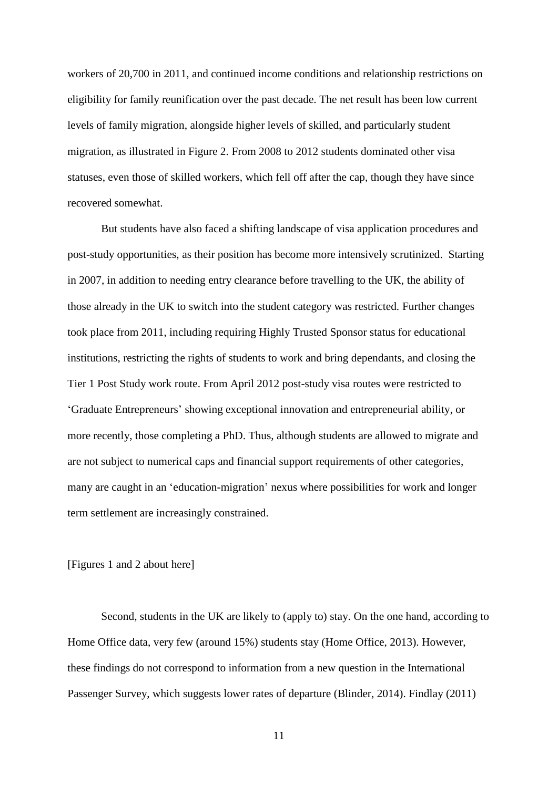workers of 20,700 in 2011, and continued income conditions and relationship restrictions on eligibility for family reunification over the past decade. The net result has been low current levels of family migration, alongside higher levels of skilled, and particularly student migration, as illustrated in Figure 2. From 2008 to 2012 students dominated other visa statuses, even those of skilled workers, which fell off after the cap, though they have since recovered somewhat.

But students have also faced a shifting landscape of visa application procedures and post-study opportunities, as their position has become more intensively scrutinized. Starting in 2007, in addition to needing entry clearance before travelling to the UK, the ability of those already in the UK to switch into the student category was restricted. Further changes took place from 2011, including requiring Highly Trusted Sponsor status for educational institutions, restricting the rights of students to work and bring dependants, and closing the Tier 1 Post Study work route. From April 2012 post-study visa routes were restricted to 'Graduate Entrepreneurs' showing exceptional innovation and entrepreneurial ability, or more recently, those completing a PhD. Thus, although students are allowed to migrate and are not subject to numerical caps and financial support requirements of other categories, many are caught in an 'education-migration' nexus where possibilities for work and longer term settlement are increasingly constrained.

#### [Figures 1 and 2 about here]

Second, students in the UK are likely to (apply to) stay. On the one hand, according to Home Office data, very few (around 15%) students stay (Home Office, 2013). However, these findings do not correspond to information from a new question in the International Passenger Survey, which suggests lower rates of departure (Blinder, 2014). Findlay (2011)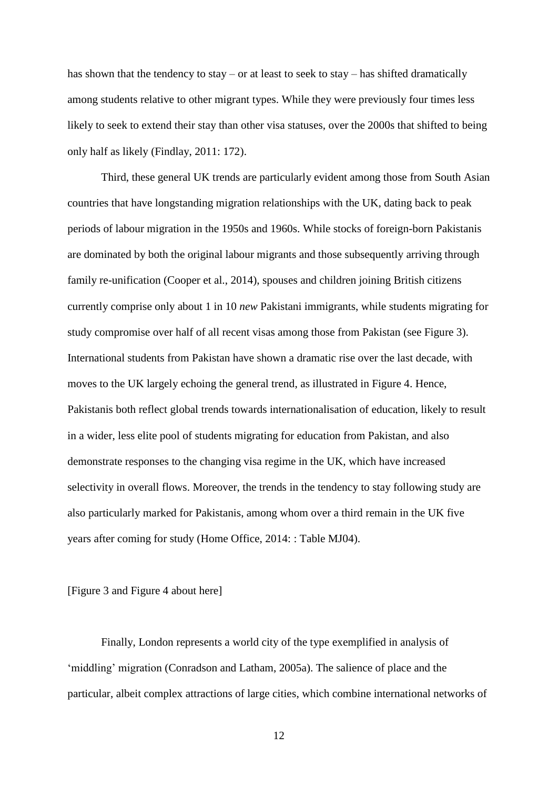has shown that the tendency to stay – or at least to seek to stay – has shifted dramatically among students relative to other migrant types. While they were previously four times less likely to seek to extend their stay than other visa statuses, over the 2000s that shifted to being only half as likely (Findlay, 2011: 172).

Third, these general UK trends are particularly evident among those from South Asian countries that have longstanding migration relationships with the UK, dating back to peak periods of labour migration in the 1950s and 1960s. While stocks of foreign-born Pakistanis are dominated by both the original labour migrants and those subsequently arriving through family re-unification (Cooper et al., 2014), spouses and children joining British citizens currently comprise only about 1 in 10 *new* Pakistani immigrants, while students migrating for study compromise over half of all recent visas among those from Pakistan (see Figure 3). International students from Pakistan have shown a dramatic rise over the last decade, with moves to the UK largely echoing the general trend, as illustrated in Figure 4. Hence, Pakistanis both reflect global trends towards internationalisation of education, likely to result in a wider, less elite pool of students migrating for education from Pakistan, and also demonstrate responses to the changing visa regime in the UK, which have increased selectivity in overall flows. Moreover, the trends in the tendency to stay following study are also particularly marked for Pakistanis, among whom over a third remain in the UK five years after coming for study (Home Office, 2014: : Table MJ04).

[Figure 3 and Figure 4 about here]

Finally, London represents a world city of the type exemplified in analysis of 'middling' migration (Conradson and Latham, 2005a). The salience of place and the particular, albeit complex attractions of large cities, which combine international networks of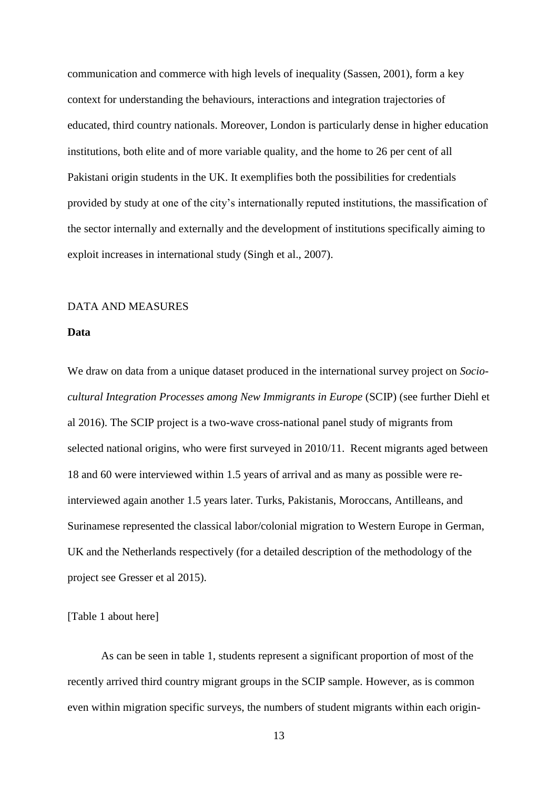communication and commerce with high levels of inequality (Sassen, 2001), form a key context for understanding the behaviours, interactions and integration trajectories of educated, third country nationals. Moreover, London is particularly dense in higher education institutions, both elite and of more variable quality, and the home to 26 per cent of all Pakistani origin students in the UK. It exemplifies both the possibilities for credentials provided by study at one of the city's internationally reputed institutions, the massification of the sector internally and externally and the development of institutions specifically aiming to exploit increases in international study (Singh et al., 2007).

#### DATA AND MEASURES

#### **Data**

We draw on data from a unique dataset produced in the international survey project on *Sociocultural Integration Processes among New Immigrants in Europe* (SCIP) (see further Diehl et al 2016). The SCIP project is a two-wave cross-national panel study of migrants from selected national origins, who were first surveyed in 2010/11. Recent migrants aged between 18 and 60 were interviewed within 1.5 years of arrival and as many as possible were reinterviewed again another 1.5 years later. Turks, Pakistanis, Moroccans, Antilleans, and Surinamese represented the classical labor/colonial migration to Western Europe in German, UK and the Netherlands respectively (for a detailed description of the methodology of the project see Gresser et al 2015).

[Table 1 about here]

As can be seen in table 1, students represent a significant proportion of most of the recently arrived third country migrant groups in the SCIP sample. However, as is common even within migration specific surveys, the numbers of student migrants within each origin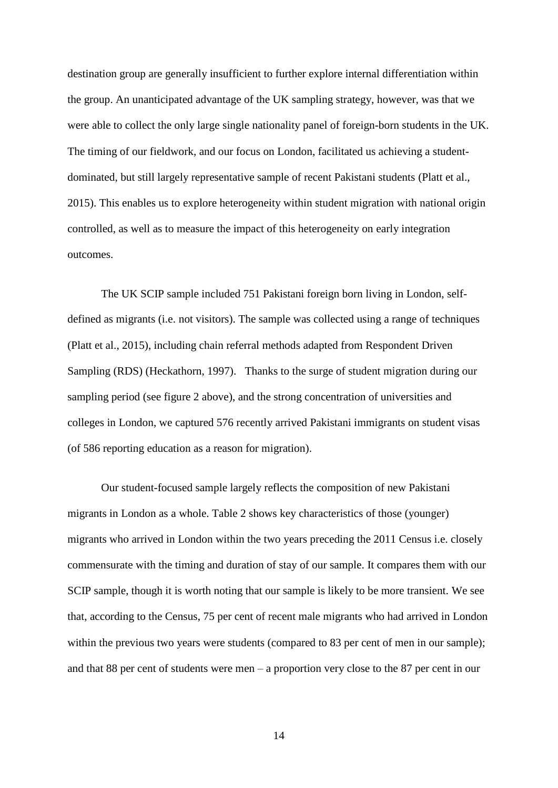destination group are generally insufficient to further explore internal differentiation within the group. An unanticipated advantage of the UK sampling strategy, however, was that we were able to collect the only large single nationality panel of foreign-born students in the UK. The timing of our fieldwork, and our focus on London, facilitated us achieving a studentdominated, but still largely representative sample of recent Pakistani students (Platt et al., 2015). This enables us to explore heterogeneity within student migration with national origin controlled, as well as to measure the impact of this heterogeneity on early integration outcomes.

The UK SCIP sample included 751 Pakistani foreign born living in London, selfdefined as migrants (i.e. not visitors). The sample was collected using a range of techniques (Platt et al., 2015), including chain referral methods adapted from Respondent Driven Sampling (RDS) (Heckathorn, 1997). Thanks to the surge of student migration during our sampling period (see figure 2 above), and the strong concentration of universities and colleges in London, we captured 576 recently arrived Pakistani immigrants on student visas (of 586 reporting education as a reason for migration).

Our student-focused sample largely reflects the composition of new Pakistani migrants in London as a whole. Table 2 shows key characteristics of those (younger) migrants who arrived in London within the two years preceding the 2011 Census i.e. closely commensurate with the timing and duration of stay of our sample. It compares them with our SCIP sample, though it is worth noting that our sample is likely to be more transient. We see that, according to the Census, 75 per cent of recent male migrants who had arrived in London within the previous two years were students (compared to 83 per cent of men in our sample); and that 88 per cent of students were men – a proportion very close to the 87 per cent in our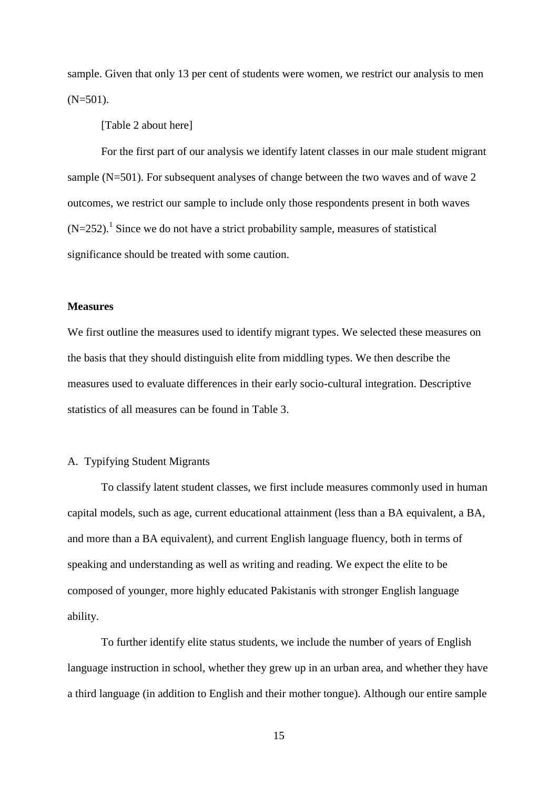sample. Given that only 13 per cent of students were women, we restrict our analysis to men  $(N=501)$ .

[Table 2 about here]

For the first part of our analysis we identify latent classes in our male student migrant sample (N=501). For subsequent analyses of change between the two waves and of wave 2 outcomes, we restrict our sample to include only those respondents present in both waves  $(N=252)$ .<sup>1</sup> Since we do not have a strict probability sample, measures of statistical significance should be treated with some caution.

#### **Measures**

We first outline the measures used to identify migrant types. We selected these measures on the basis that they should distinguish elite from middling types. We then describe the measures used to evaluate differences in their early socio-cultural integration. Descriptive statistics of all measures can be found in Table 3.

#### A. Typifying Student Migrants

To classify latent student classes, we first include measures commonly used in human capital models, such as age, current educational attainment (less than a BA equivalent, a BA, and more than a BA equivalent), and current English language fluency, both in terms of speaking and understanding as well as writing and reading. We expect the elite to be composed of younger, more highly educated Pakistanis with stronger English language ability.

To further identify elite status students, we include the number of years of English language instruction in school, whether they grew up in an urban area, and whether they have a third language (in addition to English and their mother tongue). Although our entire sample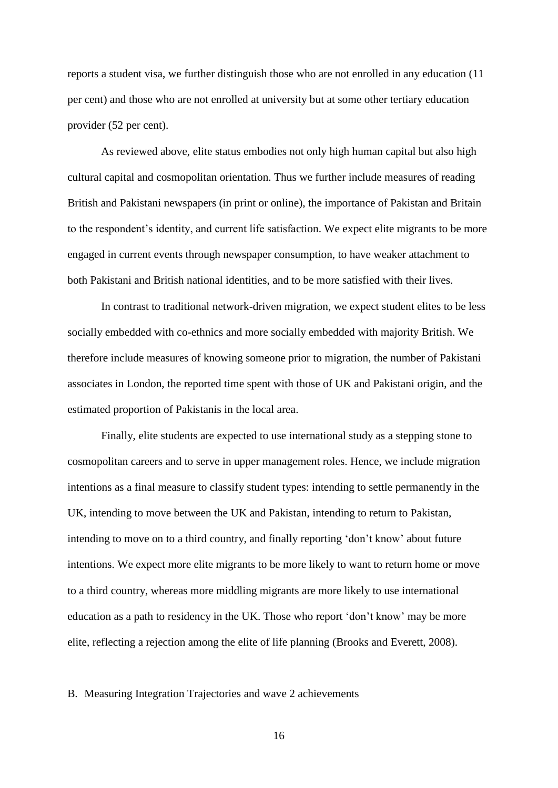reports a student visa, we further distinguish those who are not enrolled in any education (11 per cent) and those who are not enrolled at university but at some other tertiary education provider (52 per cent).

As reviewed above, elite status embodies not only high human capital but also high cultural capital and cosmopolitan orientation. Thus we further include measures of reading British and Pakistani newspapers (in print or online), the importance of Pakistan and Britain to the respondent's identity, and current life satisfaction. We expect elite migrants to be more engaged in current events through newspaper consumption, to have weaker attachment to both Pakistani and British national identities, and to be more satisfied with their lives.

In contrast to traditional network-driven migration, we expect student elites to be less socially embedded with co-ethnics and more socially embedded with majority British. We therefore include measures of knowing someone prior to migration, the number of Pakistani associates in London, the reported time spent with those of UK and Pakistani origin, and the estimated proportion of Pakistanis in the local area.

Finally, elite students are expected to use international study as a stepping stone to cosmopolitan careers and to serve in upper management roles. Hence, we include migration intentions as a final measure to classify student types: intending to settle permanently in the UK, intending to move between the UK and Pakistan, intending to return to Pakistan, intending to move on to a third country, and finally reporting 'don't know' about future intentions. We expect more elite migrants to be more likely to want to return home or move to a third country, whereas more middling migrants are more likely to use international education as a path to residency in the UK. Those who report 'don't know' may be more elite, reflecting a rejection among the elite of life planning (Brooks and Everett, 2008).

#### B. Measuring Integration Trajectories and wave 2 achievements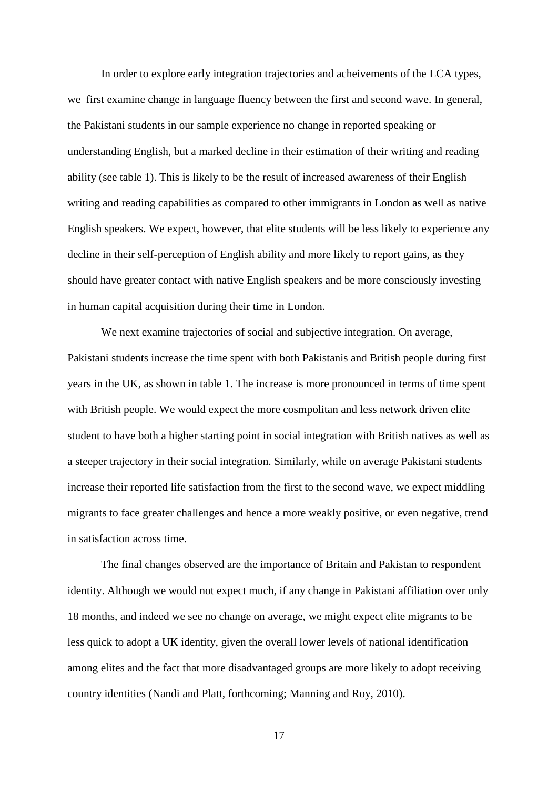In order to explore early integration trajectories and acheivements of the LCA types, we first examine change in language fluency between the first and second wave. In general, the Pakistani students in our sample experience no change in reported speaking or understanding English, but a marked decline in their estimation of their writing and reading ability (see table 1). This is likely to be the result of increased awareness of their English writing and reading capabilities as compared to other immigrants in London as well as native English speakers. We expect, however, that elite students will be less likely to experience any decline in their self-perception of English ability and more likely to report gains, as they should have greater contact with native English speakers and be more consciously investing in human capital acquisition during their time in London.

We next examine trajectories of social and subjective integration. On average, Pakistani students increase the time spent with both Pakistanis and British people during first years in the UK, as shown in table 1. The increase is more pronounced in terms of time spent with British people. We would expect the more cosmpolitan and less network driven elite student to have both a higher starting point in social integration with British natives as well as a steeper trajectory in their social integration. Similarly, while on average Pakistani students increase their reported life satisfaction from the first to the second wave, we expect middling migrants to face greater challenges and hence a more weakly positive, or even negative, trend in satisfaction across time.

The final changes observed are the importance of Britain and Pakistan to respondent identity. Although we would not expect much, if any change in Pakistani affiliation over only 18 months, and indeed we see no change on average, we might expect elite migrants to be less quick to adopt a UK identity, given the overall lower levels of national identification among elites and the fact that more disadvantaged groups are more likely to adopt receiving country identities (Nandi and Platt, forthcoming; Manning and Roy, 2010).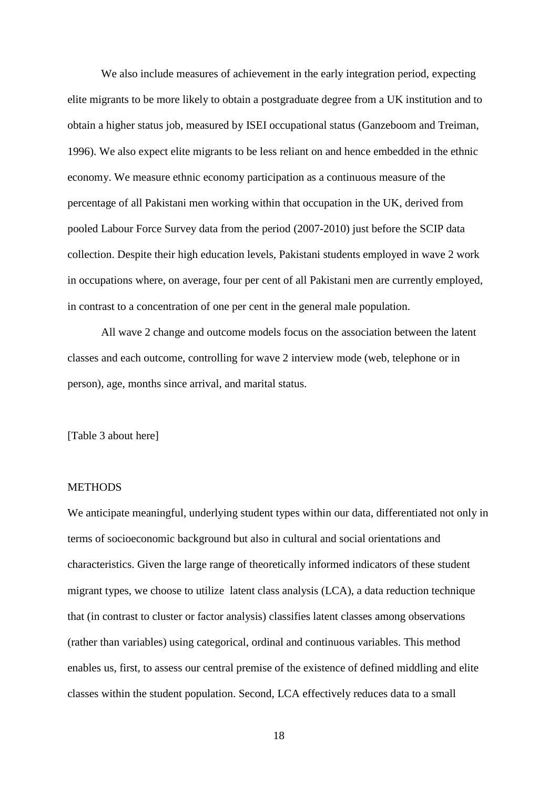We also include measures of achievement in the early integration period, expecting elite migrants to be more likely to obtain a postgraduate degree from a UK institution and to obtain a higher status job, measured by ISEI occupational status (Ganzeboom and Treiman, 1996). We also expect elite migrants to be less reliant on and hence embedded in the ethnic economy. We measure ethnic economy participation as a continuous measure of the percentage of all Pakistani men working within that occupation in the UK, derived from pooled Labour Force Survey data from the period (2007-2010) just before the SCIP data collection. Despite their high education levels, Pakistani students employed in wave 2 work in occupations where, on average, four per cent of all Pakistani men are currently employed, in contrast to a concentration of one per cent in the general male population.

All wave 2 change and outcome models focus on the association between the latent classes and each outcome, controlling for wave 2 interview mode (web, telephone or in person), age, months since arrival, and marital status.

[Table 3 about here]

#### **METHODS**

We anticipate meaningful, underlying student types within our data, differentiated not only in terms of socioeconomic background but also in cultural and social orientations and characteristics. Given the large range of theoretically informed indicators of these student migrant types, we choose to utilize latent class analysis (LCA), a data reduction technique that (in contrast to cluster or factor analysis) classifies latent classes among observations (rather than variables) using categorical, ordinal and continuous variables. This method enables us, first, to assess our central premise of the existence of defined middling and elite classes within the student population. Second, LCA effectively reduces data to a small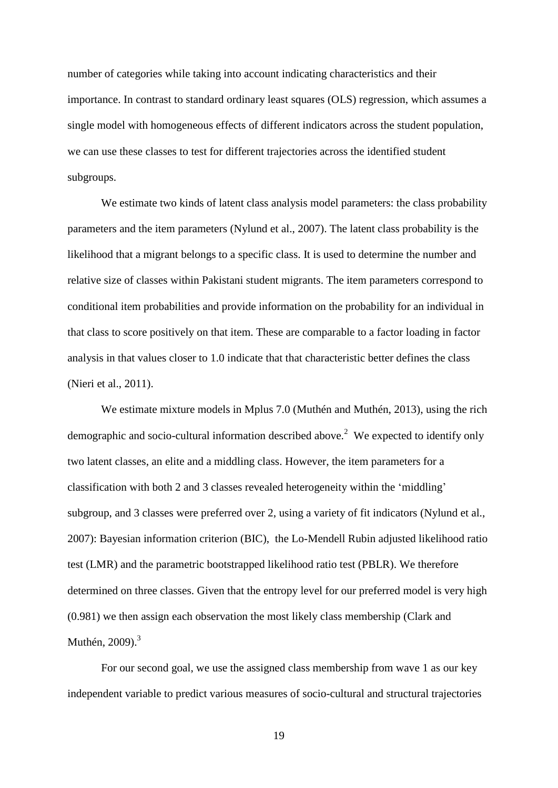number of categories while taking into account indicating characteristics and their importance. In contrast to standard ordinary least squares (OLS) regression, which assumes a single model with homogeneous effects of different indicators across the student population, we can use these classes to test for different trajectories across the identified student subgroups.

We estimate two kinds of latent class analysis model parameters: the class probability parameters and the item parameters (Nylund et al., 2007). The latent class probability is the likelihood that a migrant belongs to a specific class. It is used to determine the number and relative size of classes within Pakistani student migrants. The item parameters correspond to conditional item probabilities and provide information on the probability for an individual in that class to score positively on that item. These are comparable to a factor loading in factor analysis in that values closer to 1.0 indicate that that characteristic better defines the class (Nieri et al., 2011).

We estimate mixture models in Mplus 7.0 (Muthén and Muthén, 2013), using the rich demographic and socio-cultural information described above.<sup>2</sup> We expected to identify only two latent classes, an elite and a middling class. However, the item parameters for a classification with both 2 and 3 classes revealed heterogeneity within the 'middling' subgroup, and 3 classes were preferred over 2, using a variety of fit indicators (Nylund et al., 2007): Bayesian information criterion (BIC), the Lo-Mendell Rubin adjusted likelihood ratio test (LMR) and the parametric bootstrapped likelihood ratio test (PBLR). We therefore determined on three classes. Given that the entropy level for our preferred model is very high (0.981) we then assign each observation the most likely class membership (Clark and Muthén, 2009).<sup>3</sup>

For our second goal, we use the assigned class membership from wave 1 as our key independent variable to predict various measures of socio-cultural and structural trajectories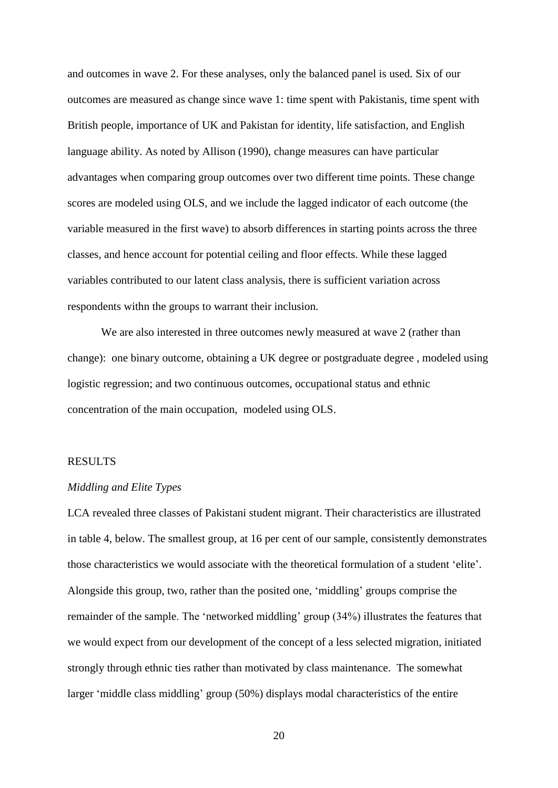and outcomes in wave 2. For these analyses, only the balanced panel is used. Six of our outcomes are measured as change since wave 1: time spent with Pakistanis, time spent with British people, importance of UK and Pakistan for identity, life satisfaction, and English language ability. As noted by Allison (1990), change measures can have particular advantages when comparing group outcomes over two different time points. These change scores are modeled using OLS, and we include the lagged indicator of each outcome (the variable measured in the first wave) to absorb differences in starting points across the three classes, and hence account for potential ceiling and floor effects. While these lagged variables contributed to our latent class analysis, there is sufficient variation across respondents withn the groups to warrant their inclusion.

We are also interested in three outcomes newly measured at wave 2 (rather than change): one binary outcome, obtaining a UK degree or postgraduate degree , modeled using logistic regression; and two continuous outcomes, occupational status and ethnic concentration of the main occupation, modeled using OLS.

#### RESULTS

#### *Middling and Elite Types*

LCA revealed three classes of Pakistani student migrant. Their characteristics are illustrated in table 4, below. The smallest group, at 16 per cent of our sample, consistently demonstrates those characteristics we would associate with the theoretical formulation of a student 'elite'. Alongside this group, two, rather than the posited one, 'middling' groups comprise the remainder of the sample. The 'networked middling' group (34%) illustrates the features that we would expect from our development of the concept of a less selected migration, initiated strongly through ethnic ties rather than motivated by class maintenance. The somewhat larger 'middle class middling' group (50%) displays modal characteristics of the entire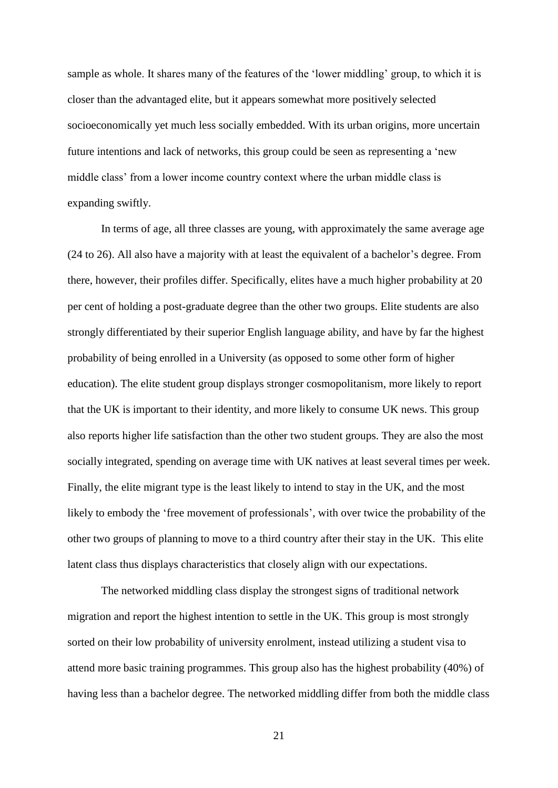sample as whole. It shares many of the features of the 'lower middling' group, to which it is closer than the advantaged elite, but it appears somewhat more positively selected socioeconomically yet much less socially embedded. With its urban origins, more uncertain future intentions and lack of networks, this group could be seen as representing a 'new middle class' from a lower income country context where the urban middle class is expanding swiftly.

In terms of age, all three classes are young, with approximately the same average age (24 to 26). All also have a majority with at least the equivalent of a bachelor's degree. From there, however, their profiles differ. Specifically, elites have a much higher probability at 20 per cent of holding a post-graduate degree than the other two groups. Elite students are also strongly differentiated by their superior English language ability, and have by far the highest probability of being enrolled in a University (as opposed to some other form of higher education). The elite student group displays stronger cosmopolitanism, more likely to report that the UK is important to their identity, and more likely to consume UK news. This group also reports higher life satisfaction than the other two student groups. They are also the most socially integrated, spending on average time with UK natives at least several times per week. Finally, the elite migrant type is the least likely to intend to stay in the UK, and the most likely to embody the 'free movement of professionals', with over twice the probability of the other two groups of planning to move to a third country after their stay in the UK. This elite latent class thus displays characteristics that closely align with our expectations.

The networked middling class display the strongest signs of traditional network migration and report the highest intention to settle in the UK. This group is most strongly sorted on their low probability of university enrolment, instead utilizing a student visa to attend more basic training programmes. This group also has the highest probability (40%) of having less than a bachelor degree. The networked middling differ from both the middle class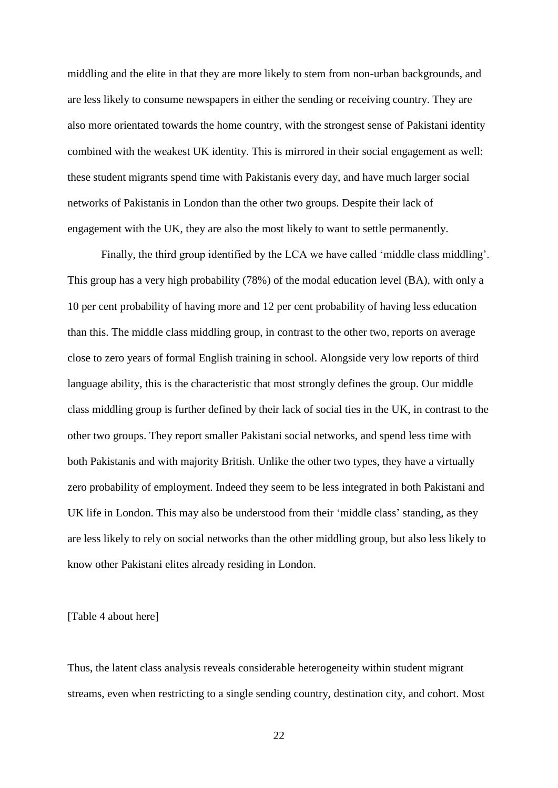middling and the elite in that they are more likely to stem from non-urban backgrounds, and are less likely to consume newspapers in either the sending or receiving country. They are also more orientated towards the home country, with the strongest sense of Pakistani identity combined with the weakest UK identity. This is mirrored in their social engagement as well: these student migrants spend time with Pakistanis every day, and have much larger social networks of Pakistanis in London than the other two groups. Despite their lack of engagement with the UK, they are also the most likely to want to settle permanently.

Finally, the third group identified by the LCA we have called 'middle class middling'. This group has a very high probability (78%) of the modal education level (BA), with only a 10 per cent probability of having more and 12 per cent probability of having less education than this. The middle class middling group, in contrast to the other two, reports on average close to zero years of formal English training in school. Alongside very low reports of third language ability, this is the characteristic that most strongly defines the group. Our middle class middling group is further defined by their lack of social ties in the UK, in contrast to the other two groups. They report smaller Pakistani social networks, and spend less time with both Pakistanis and with majority British. Unlike the other two types, they have a virtually zero probability of employment. Indeed they seem to be less integrated in both Pakistani and UK life in London. This may also be understood from their 'middle class' standing, as they are less likely to rely on social networks than the other middling group, but also less likely to know other Pakistani elites already residing in London.

[Table 4 about here]

Thus, the latent class analysis reveals considerable heterogeneity within student migrant streams, even when restricting to a single sending country, destination city, and cohort. Most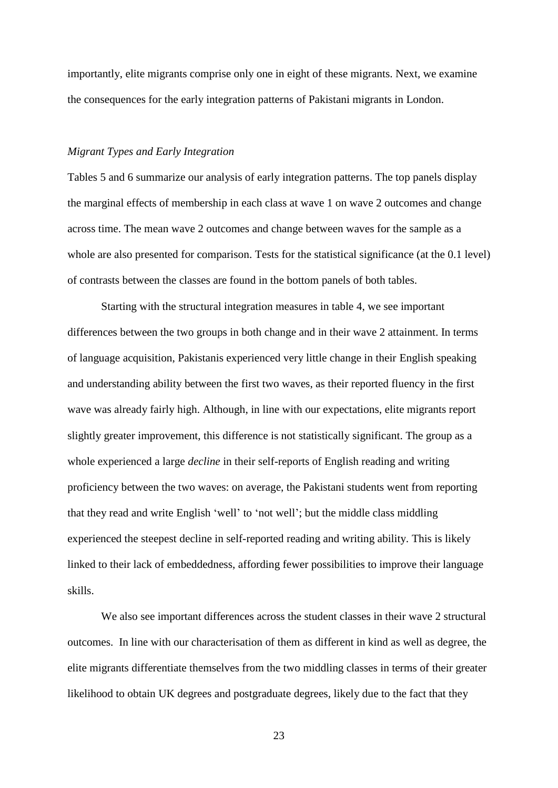importantly, elite migrants comprise only one in eight of these migrants. Next, we examine the consequences for the early integration patterns of Pakistani migrants in London.

#### *Migrant Types and Early Integration*

Tables 5 and 6 summarize our analysis of early integration patterns. The top panels display the marginal effects of membership in each class at wave 1 on wave 2 outcomes and change across time. The mean wave 2 outcomes and change between waves for the sample as a whole are also presented for comparison. Tests for the statistical significance (at the 0.1 level) of contrasts between the classes are found in the bottom panels of both tables.

Starting with the structural integration measures in table 4, we see important differences between the two groups in both change and in their wave 2 attainment. In terms of language acquisition, Pakistanis experienced very little change in their English speaking and understanding ability between the first two waves, as their reported fluency in the first wave was already fairly high. Although, in line with our expectations, elite migrants report slightly greater improvement, this difference is not statistically significant. The group as a whole experienced a large *decline* in their self-reports of English reading and writing proficiency between the two waves: on average, the Pakistani students went from reporting that they read and write English 'well' to 'not well'; but the middle class middling experienced the steepest decline in self-reported reading and writing ability. This is likely linked to their lack of embeddedness, affording fewer possibilities to improve their language skills.

We also see important differences across the student classes in their wave 2 structural outcomes. In line with our characterisation of them as different in kind as well as degree, the elite migrants differentiate themselves from the two middling classes in terms of their greater likelihood to obtain UK degrees and postgraduate degrees, likely due to the fact that they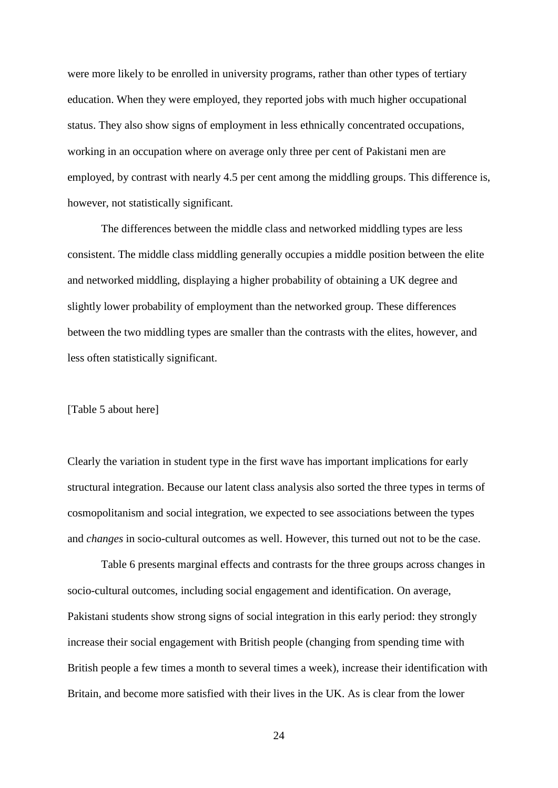were more likely to be enrolled in university programs, rather than other types of tertiary education. When they were employed, they reported jobs with much higher occupational status. They also show signs of employment in less ethnically concentrated occupations, working in an occupation where on average only three per cent of Pakistani men are employed, by contrast with nearly 4.5 per cent among the middling groups. This difference is, however, not statistically significant.

The differences between the middle class and networked middling types are less consistent. The middle class middling generally occupies a middle position between the elite and networked middling, displaying a higher probability of obtaining a UK degree and slightly lower probability of employment than the networked group. These differences between the two middling types are smaller than the contrasts with the elites, however, and less often statistically significant.

#### [Table 5 about here]

Clearly the variation in student type in the first wave has important implications for early structural integration. Because our latent class analysis also sorted the three types in terms of cosmopolitanism and social integration, we expected to see associations between the types and *changes* in socio-cultural outcomes as well. However, this turned out not to be the case.

Table 6 presents marginal effects and contrasts for the three groups across changes in socio-cultural outcomes, including social engagement and identification. On average, Pakistani students show strong signs of social integration in this early period: they strongly increase their social engagement with British people (changing from spending time with British people a few times a month to several times a week), increase their identification with Britain, and become more satisfied with their lives in the UK. As is clear from the lower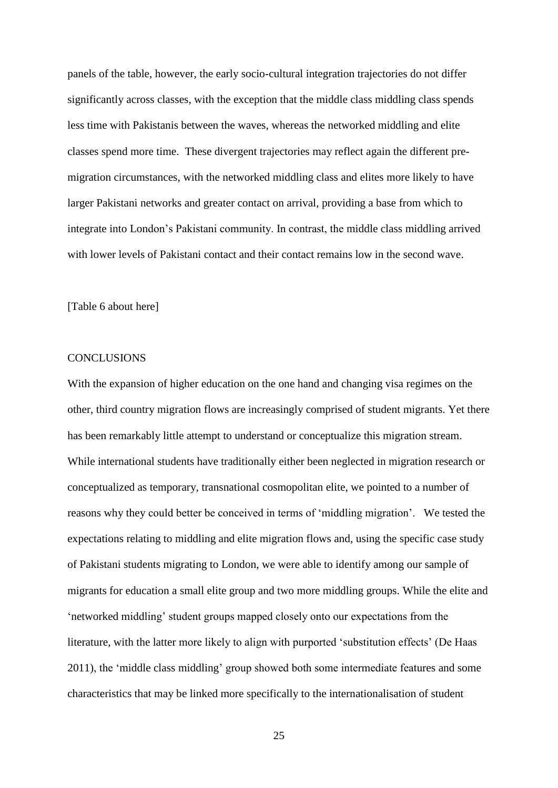panels of the table, however, the early socio-cultural integration trajectories do not differ significantly across classes, with the exception that the middle class middling class spends less time with Pakistanis between the waves, whereas the networked middling and elite classes spend more time. These divergent trajectories may reflect again the different premigration circumstances, with the networked middling class and elites more likely to have larger Pakistani networks and greater contact on arrival, providing a base from which to integrate into London's Pakistani community. In contrast, the middle class middling arrived with lower levels of Pakistani contact and their contact remains low in the second wave.

[Table 6 about here]

#### **CONCLUSIONS**

With the expansion of higher education on the one hand and changing visa regimes on the other, third country migration flows are increasingly comprised of student migrants. Yet there has been remarkably little attempt to understand or conceptualize this migration stream. While international students have traditionally either been neglected in migration research or conceptualized as temporary, transnational cosmopolitan elite, we pointed to a number of reasons why they could better be conceived in terms of 'middling migration'. We tested the expectations relating to middling and elite migration flows and, using the specific case study of Pakistani students migrating to London, we were able to identify among our sample of migrants for education a small elite group and two more middling groups. While the elite and 'networked middling' student groups mapped closely onto our expectations from the literature, with the latter more likely to align with purported 'substitution effects' (De Haas 2011), the 'middle class middling' group showed both some intermediate features and some characteristics that may be linked more specifically to the internationalisation of student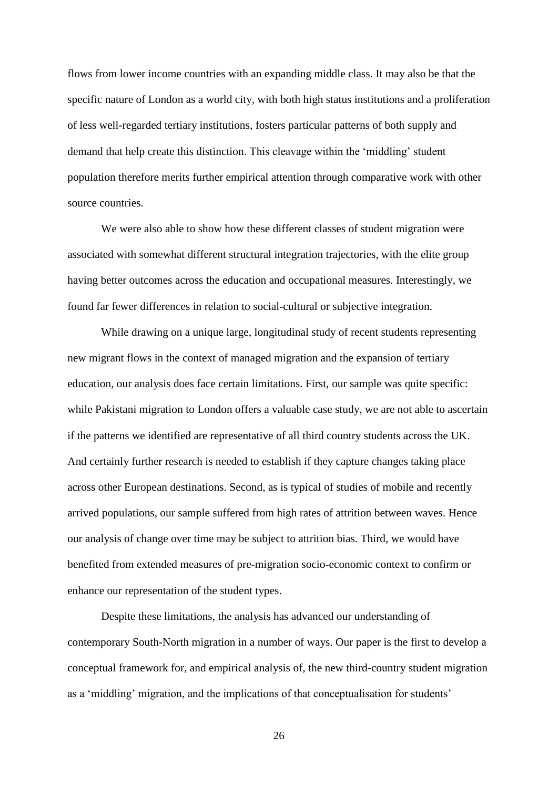flows from lower income countries with an expanding middle class. It may also be that the specific nature of London as a world city, with both high status institutions and a proliferation of less well-regarded tertiary institutions, fosters particular patterns of both supply and demand that help create this distinction. This cleavage within the 'middling' student population therefore merits further empirical attention through comparative work with other source countries.

We were also able to show how these different classes of student migration were associated with somewhat different structural integration trajectories, with the elite group having better outcomes across the education and occupational measures. Interestingly, we found far fewer differences in relation to social-cultural or subjective integration.

While drawing on a unique large, longitudinal study of recent students representing new migrant flows in the context of managed migration and the expansion of tertiary education, our analysis does face certain limitations. First, our sample was quite specific: while Pakistani migration to London offers a valuable case study, we are not able to ascertain if the patterns we identified are representative of all third country students across the UK. And certainly further research is needed to establish if they capture changes taking place across other European destinations. Second, as is typical of studies of mobile and recently arrived populations, our sample suffered from high rates of attrition between waves. Hence our analysis of change over time may be subject to attrition bias. Third, we would have benefited from extended measures of pre-migration socio-economic context to confirm or enhance our representation of the student types.

Despite these limitations, the analysis has advanced our understanding of contemporary South-North migration in a number of ways. Our paper is the first to develop a conceptual framework for, and empirical analysis of, the new third-country student migration as a 'middling' migration, and the implications of that conceptualisation for students'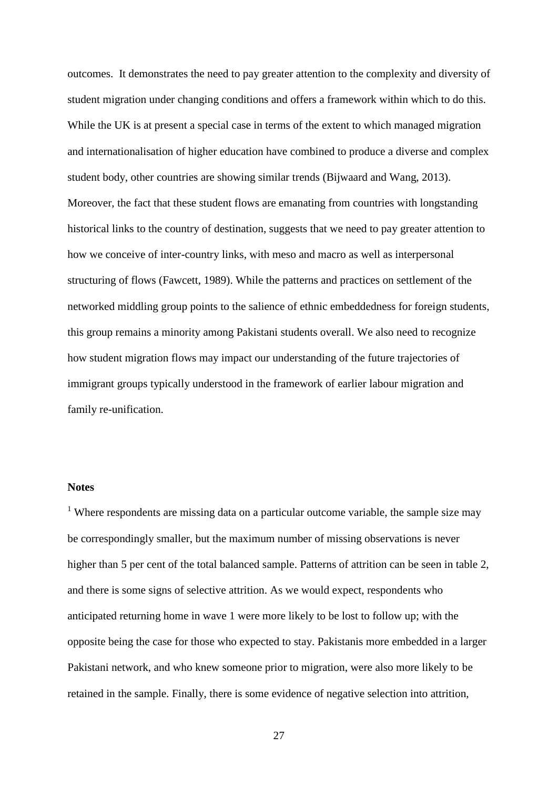outcomes. It demonstrates the need to pay greater attention to the complexity and diversity of student migration under changing conditions and offers a framework within which to do this. While the UK is at present a special case in terms of the extent to which managed migration and internationalisation of higher education have combined to produce a diverse and complex student body, other countries are showing similar trends (Bijwaard and Wang, 2013). Moreover, the fact that these student flows are emanating from countries with longstanding historical links to the country of destination, suggests that we need to pay greater attention to how we conceive of inter-country links, with meso and macro as well as interpersonal structuring of flows (Fawcett, 1989). While the patterns and practices on settlement of the networked middling group points to the salience of ethnic embeddedness for foreign students, this group remains a minority among Pakistani students overall. We also need to recognize how student migration flows may impact our understanding of the future trajectories of immigrant groups typically understood in the framework of earlier labour migration and family re-unification.

#### **Notes**

<sup>1</sup> Where respondents are missing data on a particular outcome variable, the sample size may be correspondingly smaller, but the maximum number of missing observations is never higher than 5 per cent of the total balanced sample. Patterns of attrition can be seen in table 2, and there is some signs of selective attrition. As we would expect, respondents who anticipated returning home in wave 1 were more likely to be lost to follow up; with the opposite being the case for those who expected to stay. Pakistanis more embedded in a larger Pakistani network, and who knew someone prior to migration, were also more likely to be retained in the sample. Finally, there is some evidence of negative selection into attrition,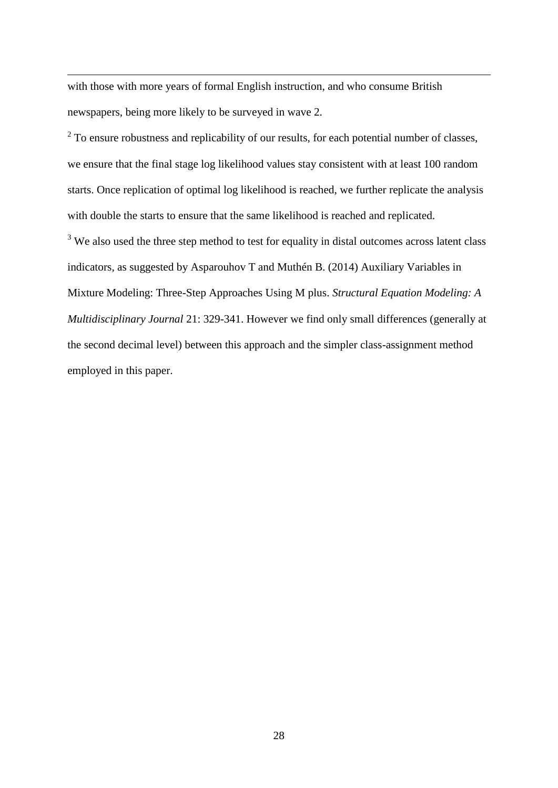with those with more years of formal English instruction, and who consume British newspapers, being more likely to be surveyed in wave 2.

1

 $2^{2}$  To ensure robustness and replicability of our results, for each potential number of classes, we ensure that the final stage log likelihood values stay consistent with at least 100 random starts. Once replication of optimal log likelihood is reached, we further replicate the analysis with double the starts to ensure that the same likelihood is reached and replicated.

 $3\,$  We also used the three step method to test for equality in distal outcomes across latent class indicators, as suggested by Asparouhov T and Muthén B. (2014) Auxiliary Variables in Mixture Modeling: Three-Step Approaches Using M plus. *Structural Equation Modeling: A Multidisciplinary Journal* 21: 329-341. However we find only small differences (generally at the second decimal level) between this approach and the simpler class-assignment method employed in this paper.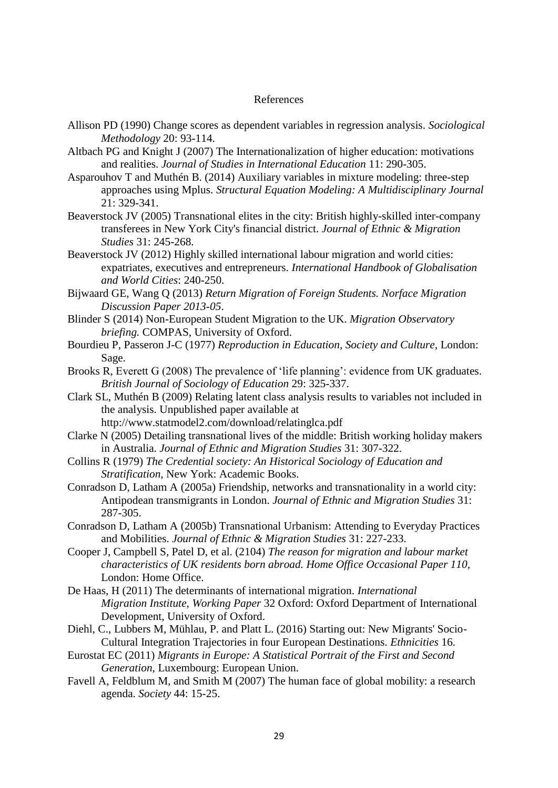#### References

- Allison PD (1990) Change scores as dependent variables in regression analysis. *Sociological Methodology* 20: 93-114.
- Altbach PG and Knight J (2007) The Internationalization of higher education: motivations and realities. *Journal of Studies in International Education* 11: 290-305.
- Asparouhov T and Muthén B. (2014) Auxiliary variables in mixture modeling: three-step approaches using Mplus. *Structural Equation Modeling: A Multidisciplinary Journal* 21: 329-341.
- Beaverstock JV (2005) Transnational elites in the city: British highly-skilled inter-company transferees in New York City's financial district. *Journal of Ethnic & Migration Studies* 31: 245-268.
- Beaverstock JV (2012) Highly skilled international labour migration and world cities: expatriates, executives and entrepreneurs. *International Handbook of Globalisation and World Cities*: 240-250.
- Bijwaard GE, Wang Q (2013) *Return Migration of Foreign Students. Norface Migration Discussion Paper 2013-05*.
- Blinder S (2014) Non-European Student Migration to the UK. *Migration Observatory briefing.* COMPAS, University of Oxford.
- Bourdieu P, Passeron J-C (1977) *Reproduction in Education, Society and Culture,* London: Sage.
- Brooks R, Everett G (2008) The prevalence of 'life planning': evidence from UK graduates. *British Journal of Sociology of Education* 29: 325-337.
- Clark SL, Muthén B (2009) Relating latent class analysis results to variables not included in the analysis. Unpublished paper available at
	- http://www.statmodel2.com/download/relatinglca.pdf
- Clarke N (2005) Detailing transnational lives of the middle: British working holiday makers in Australia. *Journal of Ethnic and Migration Studies* 31: 307-322.
- Collins R (1979) *The Credential society: An Historical Sociology of Education and Stratification,* New York: Academic Books.
- Conradson D, Latham A (2005a) Friendship, networks and transnationality in a world city: Antipodean transmigrants in London. *Journal of Ethnic and Migration Studies* 31: 287-305.
- Conradson D, Latham A (2005b) Transnational Urbanism: Attending to Everyday Practices and Mobilities. *Journal of Ethnic & Migration Studies* 31: 227-233.
- Cooper J, Campbell S, Patel D, et al. (2104) *The reason for migration and labour market characteristics of UK residents born abroad. Home Office Occasional Paper 110,*  London: Home Office.
- De Haas, H (2011) The determinants of international migration. *International Migration Institute, Working Paper* 32 Oxford: Oxford Department of International Development, University of Oxford.
- Diehl, C., Lubbers M, Mühlau, P. and Platt L. (2016) Starting out: New Migrants' Socio-Cultural Integration Trajectories in four European Destinations. *Ethnicities* 16.
- Eurostat EC (2011) *Migrants in Europe: A Statistical Portrait of the First and Second Generation,* Luxembourg: European Union.
- Favell A, Feldblum M, and Smith M (2007) The human face of global mobility: a research agenda. *Society* 44: 15-25.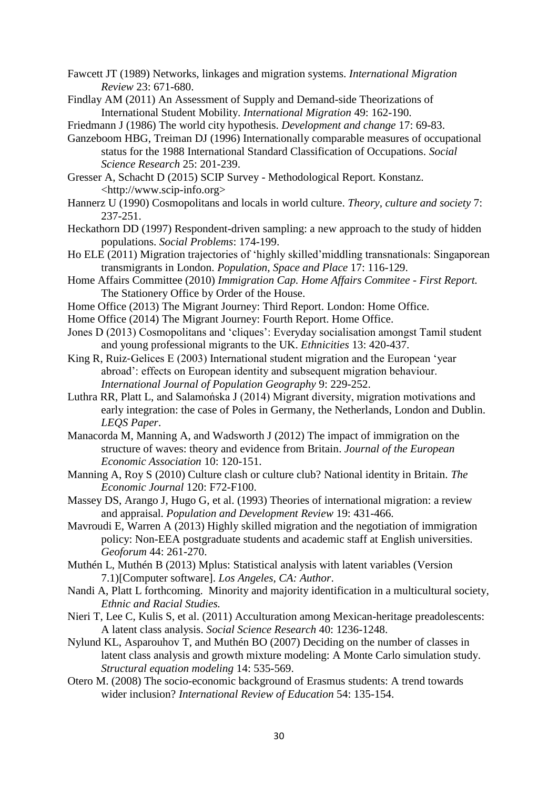- Fawcett JT (1989) Networks, linkages and migration systems. *International Migration Review* 23: 671-680.
- Findlay AM (2011) An Assessment of Supply and Demand-side Theorizations of International Student Mobility. *International Migration* 49: 162-190.

Friedmann J (1986) The world city hypothesis. *Development and change* 17: 69-83.

- Ganzeboom HBG, Treiman DJ (1996) Internationally comparable measures of occupational status for the 1988 International Standard Classification of Occupations. *Social Science Research* 25: 201-239.
- Gresser A, Schacht D (2015) SCIP Survey Methodological Report. Konstanz. <http://www.scip-info.org>
- Hannerz U (1990) Cosmopolitans and locals in world culture. *Theory, culture and society* 7: 237-251.
- Heckathorn DD (1997) Respondent-driven sampling: a new approach to the study of hidden populations. *Social Problems*: 174-199.
- Ho ELE (2011) Migration trajectories of 'highly skilled'middling transnationals: Singaporean transmigrants in London. *Population, Space and Place* 17: 116-129.
- Home Affairs Committee (2010) *Immigration Cap. Home Affairs Commitee - First Report.* The Stationery Office by Order of the House.
- Home Office (2013) The Migrant Journey: Third Report. London: Home Office.
- Home Office (2014) The Migrant Journey: Fourth Report. Home Office.
- Jones D (2013) Cosmopolitans and 'cliques': Everyday socialisation amongst Tamil student and young professional migrants to the UK. *Ethnicities* 13: 420-437.
- King R, Ruiz-Gelices E (2003) International student migration and the European 'year abroad': effects on European identity and subsequent migration behaviour. *International Journal of Population Geography* 9: 229-252.
- Luthra RR, Platt L, and Salamońska J (2014) Migrant diversity, migration motivations and early integration: the case of Poles in Germany, the Netherlands, London and Dublin. *LEQS Paper*.
- Manacorda M, Manning A, and Wadsworth J (2012) The impact of immigration on the structure of waves: theory and evidence from Britain. *Journal of the European Economic Association* 10: 120-151.
- Manning A, Roy S (2010) Culture clash or culture club? National identity in Britain. *The Economic Journal* 120: F72-F100.
- Massey DS, Arango J, Hugo G, et al. (1993) Theories of international migration: a review and appraisal. *Population and Development Review* 19: 431-466.
- Mavroudi E, Warren A (2013) Highly skilled migration and the negotiation of immigration policy: Non-EEA postgraduate students and academic staff at English universities. *Geoforum* 44: 261-270.
- Muthén L, Muthén B (2013) Mplus: Statistical analysis with latent variables (Version 7.1)[Computer software]. *Los Angeles, CA: Author*.
- Nandi A, Platt L forthcoming. Minority and majority identification in a multicultural society*, Ethnic and Racial Studies.*
- Nieri T, Lee C, Kulis S, et al. (2011) Acculturation among Mexican-heritage preadolescents: A latent class analysis. *Social Science Research* 40: 1236-1248.
- Nylund KL, Asparouhov T, and Muthén BO (2007) Deciding on the number of classes in latent class analysis and growth mixture modeling: A Monte Carlo simulation study. *Structural equation modeling* 14: 535-569.
- Otero M. (2008) The socio-economic background of Erasmus students: A trend towards wider inclusion? *International Review of Education* 54: 135-154.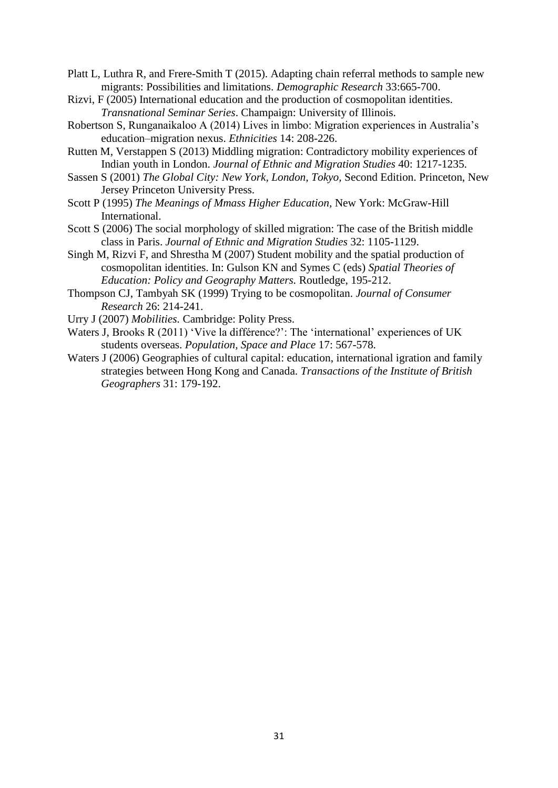Platt L, Luthra R, and Frere-Smith T (2015). Adapting chain referral methods to sample new migrants: Possibilities and limitations. *Demographic Research* 33:665-700.

- Rizvi, F (2005) International education and the production of cosmopolitan identities. *Transnational Seminar Series*. Champaign: University of Illinois.
- Robertson S, Runganaikaloo A (2014) Lives in limbo: Migration experiences in Australia's education–migration nexus. *Ethnicities* 14: 208-226.
- Rutten M, Verstappen S (2013) Middling migration: Contradictory mobility experiences of Indian youth in London. *Journal of Ethnic and Migration Studies* 40: 1217-1235.
- Sassen S (2001) *The Global City: New York, London, Tokyo,* Second Edition. Princeton, New Jersey Princeton University Press.
- Scott P (1995) *The Meanings of Mmass Higher Education,* New York: McGraw-Hill International.
- Scott S (2006) The social morphology of skilled migration: The case of the British middle class in Paris. *Journal of Ethnic and Migration Studies* 32: 1105-1129.
- Singh M, Rizvi F, and Shrestha M (2007) Student mobility and the spatial production of cosmopolitan identities. In: Gulson KN and Symes C (eds) *Spatial Theories of Education: Policy and Geography Matters.* Routledge, 195-212.
- Thompson CJ, Tambyah SK (1999) Trying to be cosmopolitan. *Journal of Consumer Research* 26: 214-241.
- Urry J (2007) *Mobilities.* Cambridge: Polity Press.
- Waters J, Brooks R (2011) 'Vive la différence?': The 'international' experiences of UK students overseas. *Population, Space and Place* 17: 567-578.
- Waters J (2006) Geographies of cultural capital: education, international igration and family strategies between Hong Kong and Canada. *Transactions of the Institute of British Geographers* 31: 179-192.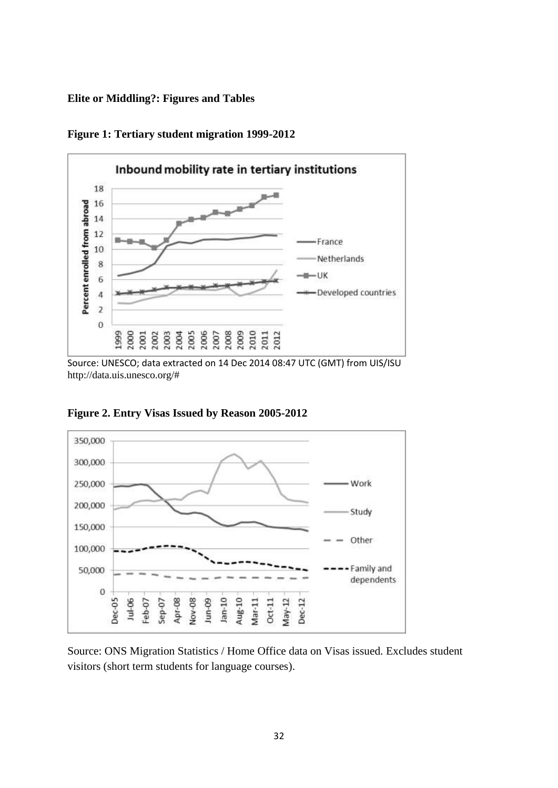**Elite or Middling?: Figures and Tables**



**Figure 1: Tertiary student migration 1999-2012**

Source: UNESCO; data extracted on 14 Dec 2014 08:47 UTC (GMT) from UIS/ISU http://data.uis.unesco.org/#



**Figure 2. Entry Visas Issued by Reason 2005-2012**

Source: ONS Migration Statistics / Home Office data on Visas issued. Excludes student visitors (short term students for language courses).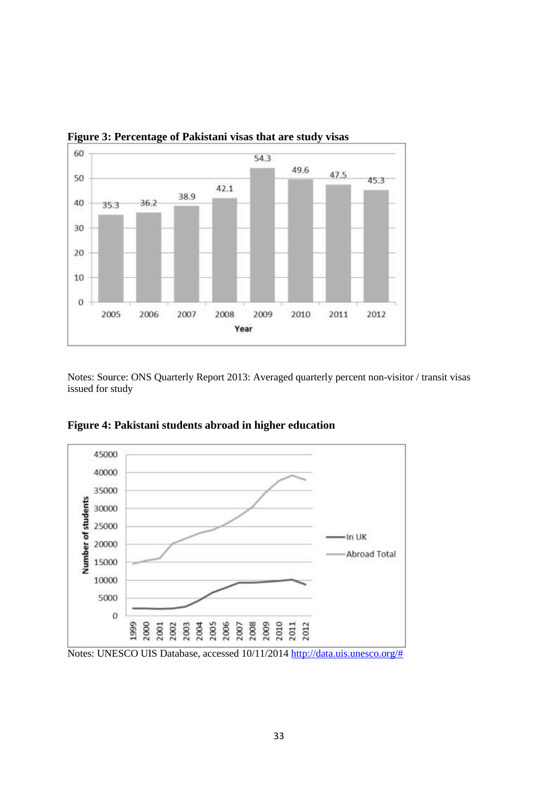

**Figure 3: Percentage of Pakistani visas that are study visas**

Notes: Source: ONS Quarterly Report 2013: Averaged quarterly percent non-visitor / transit visas issued for study



**Figure 4: Pakistani students abroad in higher education** 

Notes: UNESCO UIS Database, accessed 10/11/2014 [http://data.uis.unesco.org/#](http://data.uis.unesco.org/)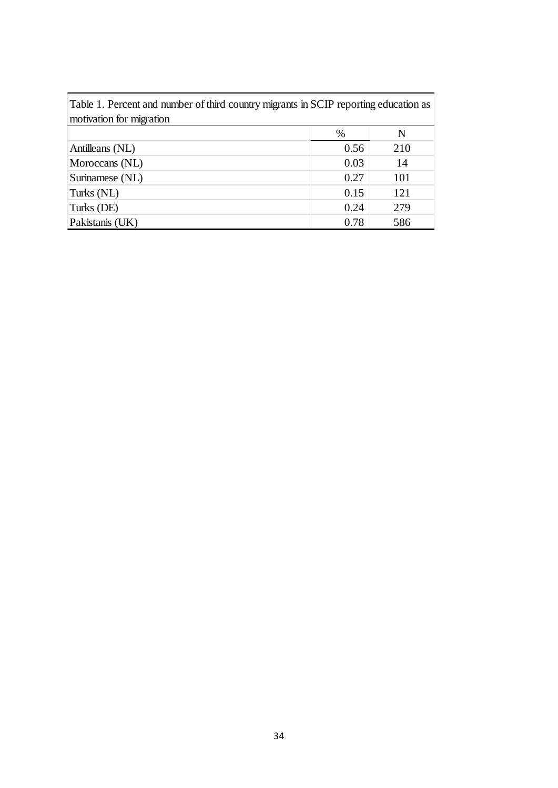| Table 1. Percent and number of third country migrants in SCIP reporting education as |      |           |
|--------------------------------------------------------------------------------------|------|-----------|
| motivation for migration                                                             |      |           |
|                                                                                      | $\%$ | ${\bf N}$ |
| Antilleans (NL)                                                                      | 0.56 | 210       |
| Moroccans (NL)                                                                       | 0.03 | 14        |
| Surinamese (NL)                                                                      | 0.27 | 101       |
| Turks (NL)                                                                           | 0.15 | 121       |
| Turks (DE)                                                                           | 0.24 | 279       |
| Pakistanis (UK)                                                                      | 0.78 | 586       |
|                                                                                      | 34   |           |

F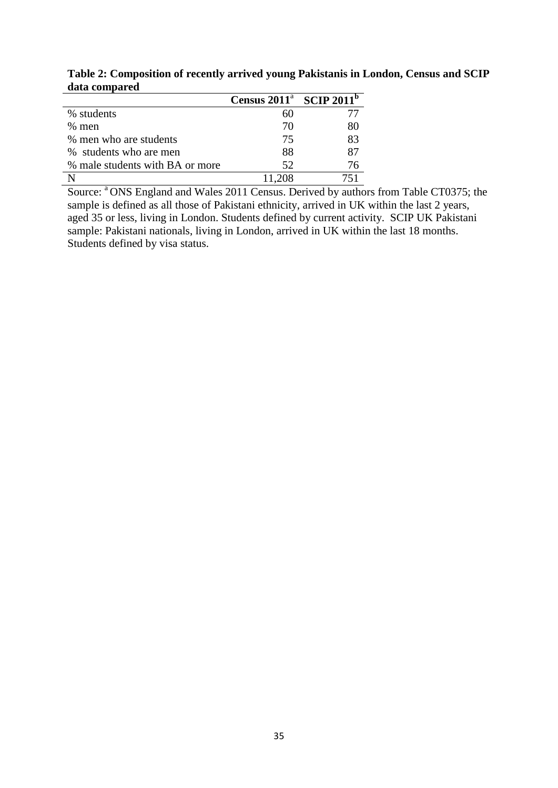|                                 | Census $2011^a$ SCIP $2011^b$ |    |
|---------------------------------|-------------------------------|----|
| % students                      | 60                            |    |
| $%$ men                         | 70                            | 80 |
| % men who are students          | 75                            | 83 |
| % students who are men          | 88                            | 87 |
| % male students with BA or more | 52                            | 76 |
|                                 | - 208                         |    |

**Table 2: Composition of recently arrived young Pakistanis in London, Census and SCIP data compared**

Source: <sup>a</sup> ONS England and Wales 2011 Census. Derived by authors from Table CT0375; the sample is defined as all those of Pakistani ethnicity, arrived in UK within the last 2 years, aged 35 or less, living in London. Students defined by current activity. SCIP UK Pakistani sample: Pakistani nationals, living in London, arrived in UK within the last 18 months. Students defined by visa status.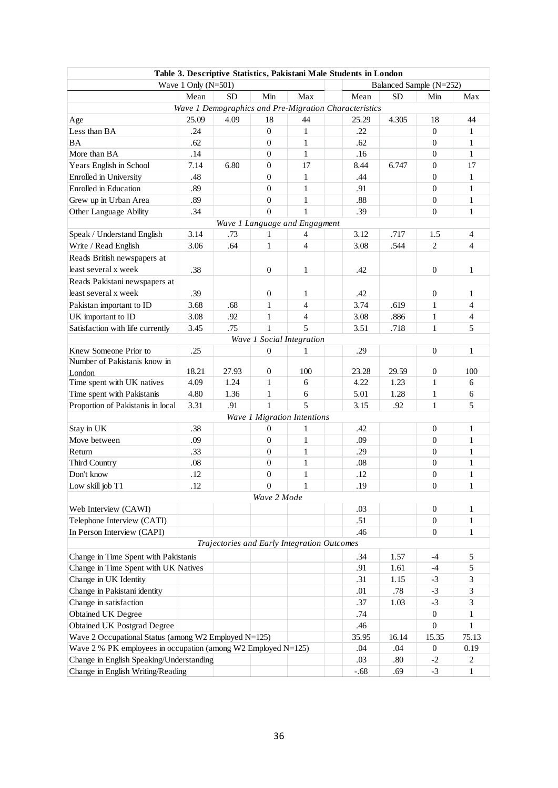|                                                               |                       |       |                  |                                             | Table 3. Descriptive Statistics, Pakistani Male Students in London |           |                         |                |
|---------------------------------------------------------------|-----------------------|-------|------------------|---------------------------------------------|--------------------------------------------------------------------|-----------|-------------------------|----------------|
|                                                               | Wave 1 Only $(N=501)$ |       |                  |                                             |                                                                    |           | Balanced Sample (N=252) |                |
|                                                               | Mean                  | SD    | Min              | Max                                         | Mean                                                               | <b>SD</b> | Min                     | Max            |
|                                                               |                       |       |                  |                                             | Wave 1 Demographics and Pre-Migration Characteristics              |           |                         |                |
| Age                                                           | 25.09                 | 4.09  | 18               | 44                                          | 25.29                                                              | 4.305     | 18                      | 44             |
| Less than BA                                                  | .24                   |       | $\overline{0}$   | 1                                           | .22                                                                |           | $\overline{0}$          | $\mathbf 1$    |
| BA                                                            | .62                   |       | $\overline{0}$   | $\mathbf{1}$                                | .62                                                                |           | $\overline{0}$          | $\mathbf{1}$   |
| More than BA                                                  | .14                   |       | $\overline{0}$   | 1                                           | .16                                                                |           | $\mathbf{0}$            | $\mathbf 1$    |
| Years English in School                                       | 7.14                  | 6.80  | $\overline{0}$   | 17                                          | 8.44                                                               | 6.747     | $\theta$                | 17             |
| Enrolled in University                                        | .48                   |       | $\overline{0}$   | 1                                           | .44                                                                |           | $\theta$                | $\mathbf 1$    |
| Enrolled in Education                                         | .89                   |       | $\overline{0}$   | $\mathbf{1}$                                | .91                                                                |           | $\overline{0}$          | 1              |
| Grew up in Urban Area                                         | .89                   |       | $\overline{0}$   | $\mathbf{1}$                                | .88                                                                |           | $\overline{0}$          | 1              |
| Other Language Ability                                        | .34                   |       | $\theta$         | $\mathbf{1}$                                | .39                                                                |           | $\overline{0}$          | $\mathbf{1}$   |
|                                                               |                       |       |                  | Wave 1 Language and Engagment               |                                                                    |           |                         |                |
| Speak / Understand English                                    | 3.14                  | .73   | 1                | 4                                           | 3.12                                                               | .717      | 1.5                     | 4              |
| Write / Read English                                          | 3.06                  | .64   | $\mathbf{1}$     | 4                                           | 3.08                                                               | .544      | $\overline{c}$          | 4              |
| Reads British newspapers at                                   |                       |       |                  |                                             |                                                                    |           |                         |                |
| least several x week                                          | .38                   |       | $\overline{0}$   | 1                                           | .42                                                                |           | $\mathbf{0}$            | 1              |
| Reads Pakistani newspapers at                                 |                       |       |                  |                                             |                                                                    |           |                         |                |
| least several x week                                          | .39                   |       | $\overline{0}$   | 1                                           | .42                                                                |           | $\overline{0}$          | $\mathbf 1$    |
| Pakistan important to ID                                      | 3.68                  | .68   | 1                | 4                                           | 3.74                                                               | .619      | $\mathbf{1}$            | 4              |
| UK important to ID                                            | 3.08                  | .92   | 1                | 4                                           | 3.08                                                               | .886      | $\mathbf{1}$            | $\overline{4}$ |
| Satisfaction with life currently                              | 3.45                  | .75   | $\mathbf{1}$     | 5                                           | 3.51                                                               | .718      | $\mathbf{1}$            | 5              |
|                                                               |                       |       |                  | Wave 1 Social Integration                   |                                                                    |           |                         |                |
| Knew Someone Prior to                                         | .25                   |       | $\overline{0}$   | 1                                           | .29                                                                |           | $\overline{0}$          | $\mathbf 1$    |
| Number of Pakistanis know in                                  |                       |       |                  |                                             |                                                                    |           |                         |                |
| London                                                        | 18.21                 | 27.93 | $\overline{0}$   | 100                                         | 23.28                                                              | 29.59     | $\mathbf{0}$            | 100            |
| Time spent with UK natives                                    | 4.09                  | 1.24  | 1                | 6                                           | 4.22                                                               | 1.23      | $\mathbf{1}$            | 6              |
| Time spent with Pakistanis                                    | 4.80                  | 1.36  | 1                | 6                                           | 5.01                                                               | 1.28      | $\mathbf{1}$            | 6              |
| Proportion of Pakistanis in local                             | 3.31                  | .91   | $\mathbf{1}$     | 5                                           | 3.15                                                               | .92       | $\mathbf{1}$            | 5              |
|                                                               |                       |       |                  | Wave 1 Migration Intentions                 |                                                                    |           |                         |                |
| Stay in UK                                                    | .38                   |       | $\overline{0}$   | 1                                           | .42                                                                |           | $\theta$                | 1              |
| Move between                                                  | .09                   |       | $\overline{0}$   | $\mathbf{1}$                                | .09                                                                |           | $\mathbf{0}$            | 1              |
| Return                                                        | .33                   |       | $\overline{0}$   | 1                                           | .29                                                                |           | $\theta$                | 1              |
| Third Country                                                 | $.08\,$               |       | $\mathbf{0}$     | 1                                           | .08                                                                |           | $\theta$                | 1              |
| Don't know                                                    | .12                   |       | $\boldsymbol{0}$ | $\mathbf{1}$                                | .12                                                                |           | $\overline{0}$          | 1              |
| Low skill job T1                                              | .12                   |       | $\Omega$         | 1                                           | .19                                                                |           | $\boldsymbol{0}$        | 1              |
|                                                               |                       |       | Wave 2 Mode      |                                             |                                                                    |           |                         |                |
| Web Interview (CAWI)                                          |                       |       |                  |                                             | .03                                                                |           | $\boldsymbol{0}$        | 1              |
| Telephone Interview (CATI)                                    |                       |       |                  |                                             | .51                                                                |           | $\boldsymbol{0}$        | 1              |
| In Person Interview (CAPI)                                    |                       |       |                  |                                             | .46                                                                |           | $\overline{0}$          | 1              |
|                                                               |                       |       |                  | Trajectories and Early Integration Outcomes |                                                                    |           |                         |                |
| Change in Time Spent with Pakistanis                          |                       |       |                  |                                             | .34                                                                | 1.57      | $-4$                    | 5              |
| Change in Time Spent with UK Natives                          |                       |       |                  |                                             | .91                                                                | 1.61      | $-4$                    | 5              |
| Change in UK Identity                                         |                       |       |                  |                                             | .31                                                                | 1.15      | $-3$                    | 3              |
| Change in Pakistani identity                                  |                       |       |                  |                                             | .01                                                                | .78       | $-3$                    | 3              |
| Change in satisfaction                                        |                       |       |                  |                                             | .37                                                                | 1.03      | $-3$                    | 3              |
| Obtained UK Degree                                            |                       |       |                  |                                             | .74                                                                |           | $\overline{0}$          | 1              |
| <b>Obtained UK Postgrad Degree</b>                            |                       |       |                  |                                             | .46                                                                |           | $\overline{0}$          | 1              |
| Wave 2 Occupational Status (among W2 Employed N=125)          |                       |       |                  |                                             | 35.95                                                              | 16.14     | 15.35                   | 75.13          |
| Wave 2 % PK employees in occupation (among W2 Employed N=125) |                       |       |                  |                                             | .04                                                                | .04       | $\boldsymbol{0}$        | 0.19           |
| Change in English Speaking/Understanding                      |                       |       |                  |                                             | .03                                                                | .80       | $-2$                    | $\overline{2}$ |
| Change in English Writing/Reading                             | $-.68$                | .69   | $-3$             | 1                                           |                                                                    |           |                         |                |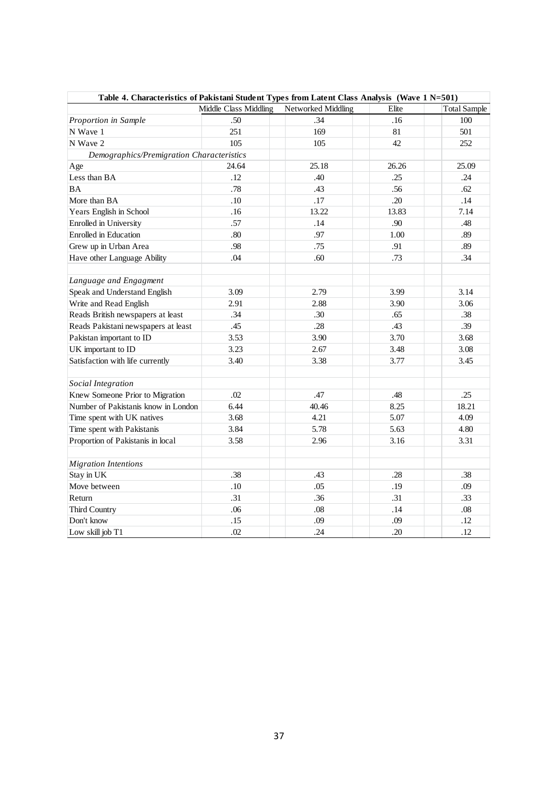| Table 4. Characteristics of Pakistani Student Types from Latent Class Analysis (Wave 1 N=501) |                       |                    |       |                     |  |  |  |  |  |
|-----------------------------------------------------------------------------------------------|-----------------------|--------------------|-------|---------------------|--|--|--|--|--|
|                                                                                               | Middle Class Middling | Networked Middling | Elite | <b>Total Sample</b> |  |  |  |  |  |
| Proportion in Sample                                                                          | .50                   | .34                | .16   | 100                 |  |  |  |  |  |
| N Wave 1                                                                                      | 251                   | 169                | 81    | 501                 |  |  |  |  |  |
| N Wave 2                                                                                      | 105                   | 105                | 42    | 252                 |  |  |  |  |  |
| Demographics/Premigration Characteristics                                                     |                       |                    |       |                     |  |  |  |  |  |
| Age                                                                                           | 24.64                 | 25.18              | 26.26 | 25.09               |  |  |  |  |  |
| Less than BA                                                                                  | .12                   | .40                | .25   | .24                 |  |  |  |  |  |
| <b>BA</b>                                                                                     | .78                   | .43                | .56   | .62                 |  |  |  |  |  |
| More than BA                                                                                  | .10                   | .17                | .20   | .14                 |  |  |  |  |  |
| Years English in School                                                                       | .16                   | 13.22              | 13.83 | 7.14                |  |  |  |  |  |
| Enrolled in University                                                                        | .57                   | .14                | .90   | .48                 |  |  |  |  |  |
| <b>Enrolled</b> in Education                                                                  | .80                   | .97                | 1.00  | .89                 |  |  |  |  |  |
| Grew up in Urban Area                                                                         | .98                   | .75                | .91   | .89                 |  |  |  |  |  |
| Have other Language Ability                                                                   | .04                   | .60                | .73   | .34                 |  |  |  |  |  |
|                                                                                               |                       |                    |       |                     |  |  |  |  |  |
| Language and Engagment                                                                        |                       |                    |       |                     |  |  |  |  |  |
| Speak and Understand English                                                                  | 3.09                  | 2.79               | 3.99  | 3.14                |  |  |  |  |  |
| Write and Read English                                                                        | 2.91                  | 2.88               | 3.90  | 3.06                |  |  |  |  |  |
| Reads British newspapers at least                                                             | .34                   | .30                | .65   | .38                 |  |  |  |  |  |
| Reads Pakistani newspapers at least                                                           | .45                   | .28                | .43   | .39                 |  |  |  |  |  |
| Pakistan important to ID                                                                      | 3.53                  | 3.90               | 3.70  | 3.68                |  |  |  |  |  |
| UK important to ID                                                                            | 3.23                  | 2.67               | 3.48  | 3.08                |  |  |  |  |  |
| Satisfaction with life currently                                                              | 3.40                  | 3.38               | 3.77  | 3.45                |  |  |  |  |  |
|                                                                                               |                       |                    |       |                     |  |  |  |  |  |
| Social Integration                                                                            |                       |                    |       |                     |  |  |  |  |  |
| Knew Someone Prior to Migration                                                               | .02                   | .47                | .48   | .25                 |  |  |  |  |  |
| Number of Pakistanis know in London                                                           | 6.44                  | 40.46              | 8.25  | 18.21               |  |  |  |  |  |
| Time spent with UK natives                                                                    | 3.68                  | 4.21               | 5.07  | 4.09                |  |  |  |  |  |
| Time spent with Pakistanis                                                                    | 3.84                  | 5.78               | 5.63  | 4.80                |  |  |  |  |  |
| Proportion of Pakistanis in local                                                             | 3.58                  | 2.96               | 3.16  | 3.31                |  |  |  |  |  |
|                                                                                               |                       |                    |       |                     |  |  |  |  |  |
| <b>Migration Intentions</b>                                                                   |                       |                    |       |                     |  |  |  |  |  |
| Stay in UK                                                                                    | .38                   | .43                | .28   | .38                 |  |  |  |  |  |
| Move between                                                                                  | .10                   | .05                | .19   | .09                 |  |  |  |  |  |
| Return                                                                                        | .31                   | .36                | .31   | .33                 |  |  |  |  |  |
| Third Country                                                                                 | .06                   | $.08\,$            | .14   | $.08\,$             |  |  |  |  |  |
| Don't know                                                                                    | .15                   | .09                | .09   | .12                 |  |  |  |  |  |
| Low skill job T1                                                                              | .02                   | .24                | .20   | .12                 |  |  |  |  |  |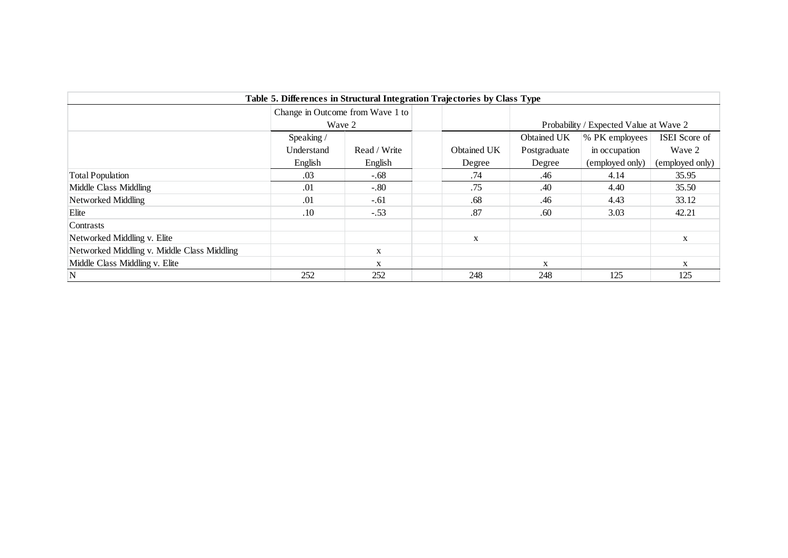| Table 5. Differences in Structural Integration Trajectories by Class Type |                                  |              |             |              |                                        |                 |  |  |  |
|---------------------------------------------------------------------------|----------------------------------|--------------|-------------|--------------|----------------------------------------|-----------------|--|--|--|
|                                                                           | Change in Outcome from Wave 1 to |              |             |              |                                        |                 |  |  |  |
|                                                                           | Wave 2                           |              |             |              | Probability / Expected Value at Wave 2 |                 |  |  |  |
|                                                                           | Speaking/                        |              |             | Obtained UK  | % PK employees                         | ISEI Score of   |  |  |  |
|                                                                           | Understand                       | Read / Write | Obtained UK | Postgraduate | in occupation                          | Wave 2          |  |  |  |
|                                                                           | English                          | English      | Degree      | Degree       | (employed only)                        | (employed only) |  |  |  |
| <b>Total Population</b>                                                   | .03                              | -.68         | .74         | .46          | 4.14                                   | 35.95           |  |  |  |
| Middle Class Middling                                                     | .01                              | $-.80$       | .75         | .40          | 4.40                                   | 35.50           |  |  |  |
| Networked Middling                                                        | .01                              | $-.61$       | .68         | .46          | 4.43                                   | 33.12           |  |  |  |
| Elite                                                                     | .10                              | $-.53$       | .87         | .60          | 3.03                                   | 42.21           |  |  |  |
| Contrasts                                                                 |                                  |              |             |              |                                        |                 |  |  |  |
| Networked Middling v. Elite                                               |                                  |              | $\mathbf X$ |              |                                        | X               |  |  |  |
| Networked Middling v. Middle Class Middling                               |                                  | X            |             |              |                                        |                 |  |  |  |
| Middle Class Middling v. Elite                                            |                                  | X            |             | X            |                                        | X               |  |  |  |
| N                                                                         | 252                              | 252          | 248         | 248          | 125                                    | 125             |  |  |  |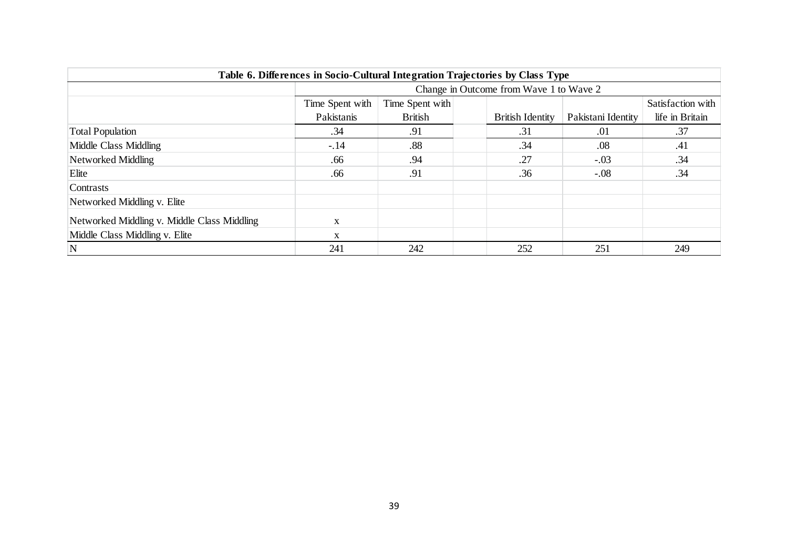| Table 6. Differences in Socio-Cultural Integration Trajectories by Class Type |                                         |                 |                         |                    |                   |  |  |  |  |
|-------------------------------------------------------------------------------|-----------------------------------------|-----------------|-------------------------|--------------------|-------------------|--|--|--|--|
|                                                                               | Change in Outcome from Wave 1 to Wave 2 |                 |                         |                    |                   |  |  |  |  |
|                                                                               | Time Spent with                         | Time Spent with |                         |                    | Satisfaction with |  |  |  |  |
|                                                                               | Pakistanis                              | <b>British</b>  | <b>British Identity</b> | Pakistani Identity | life in Britain   |  |  |  |  |
| <b>Total Population</b>                                                       | .34                                     | .91             | .31                     | .01                | .37               |  |  |  |  |
| Middle Class Middling                                                         | $-.14$                                  | $.88\,$         | .34                     | $.08\,$            | .41               |  |  |  |  |
| Networked Middling                                                            | .66                                     | .94             | .27                     | $-.03$             | .34               |  |  |  |  |
| Elite                                                                         | .66                                     | .91             | .36                     | $-.08$             | .34               |  |  |  |  |
| Contrasts                                                                     |                                         |                 |                         |                    |                   |  |  |  |  |
| Networked Middling v. Elite                                                   |                                         |                 |                         |                    |                   |  |  |  |  |
| Networked Middling v. Middle Class Middling                                   | $\mathbf X$                             |                 |                         |                    |                   |  |  |  |  |
| Middle Class Middling v. Elite                                                | $\mathbf X$                             |                 |                         |                    |                   |  |  |  |  |
| ${\bf N}$                                                                     | 241                                     | 242             | 252                     | 251                | 249               |  |  |  |  |
|                                                                               |                                         |                 |                         |                    |                   |  |  |  |  |
|                                                                               |                                         | 39              |                         |                    |                   |  |  |  |  |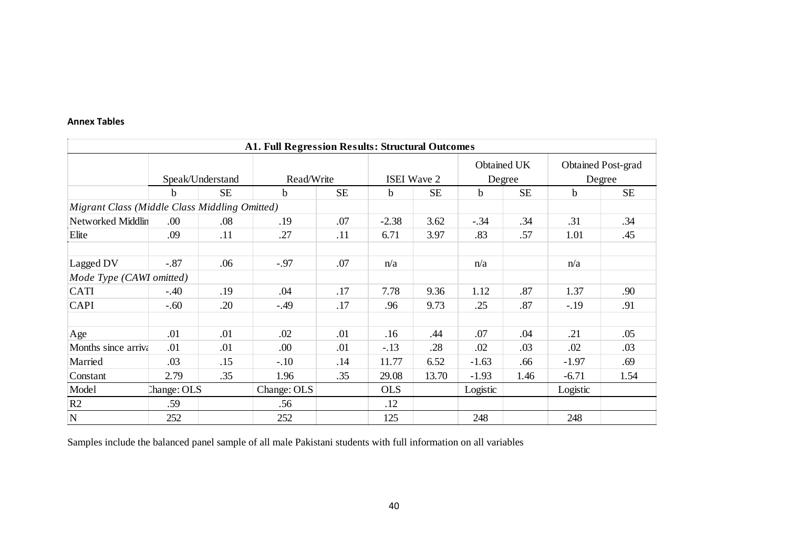#### **Annex Tables**

| <b>A1. Full Regression Results: Structural Outcomes</b> |             |                  |             |            |            |                    |             |                       |             |                              |  |
|---------------------------------------------------------|-------------|------------------|-------------|------------|------------|--------------------|-------------|-----------------------|-------------|------------------------------|--|
|                                                         |             | Speak/Understand |             | Read/Write |            | <b>ISEI</b> Wave 2 |             | Obtained UK<br>Degree |             | Obtained Post-grad<br>Degree |  |
|                                                         | b           | <b>SE</b>        | $\mathbf b$ | <b>SE</b>  | b.         | <b>SE</b>          | $\mathbf b$ | <b>SE</b>             | $\mathbf b$ | <b>SE</b>                    |  |
| Migrant Class (Middle Class Middling Omitted)           |             |                  |             |            |            |                    |             |                       |             |                              |  |
| <b>Networked Middlin</b>                                | .00         | .08              | .19         | .07        | $-2.38$    | 3.62               | $-.34$      | .34                   | .31         | .34                          |  |
| Elite                                                   | .09         | .11              | .27         | .11        | 6.71       | 3.97               | .83         | .57                   | 1.01        | .45                          |  |
|                                                         |             |                  |             |            |            |                    |             |                       |             |                              |  |
| Lagged DV                                               | $-.87$      | .06              | $-.97$      | .07        | n/a        |                    | n/a         |                       | n/a         |                              |  |
| Mode Type (CAWI omitted)                                |             |                  |             |            |            |                    |             |                       |             |                              |  |
| <b>CATI</b>                                             | $-.40$      | .19              | .04         | .17        | 7.78       | 9.36               | 1.12        | .87                   | 1.37        | .90                          |  |
| <b>CAPI</b>                                             | $-.60$      | .20              | $-.49$      | .17        | .96        | 9.73               | .25         | .87                   | $-.19$      | .91                          |  |
|                                                         |             |                  |             |            |            |                    |             |                       |             |                              |  |
| Age                                                     | .01         | .01              | .02         | .01        | .16        | .44                | .07         | .04                   | .21         | .05                          |  |
| Months since arriva                                     | .01         | .01              | .00.        | .01        | $-.13$     | .28                | .02         | .03                   | .02         | .03                          |  |
| Married                                                 | .03         | .15              | $-.10$      | .14        | 11.77      | 6.52               | $-1.63$     | .66                   | $-1.97$     | .69                          |  |
| Constant                                                | 2.79        | .35              | 1.96        | .35        | 29.08      | 13.70              | $-1.93$     | 1.46                  | $-6.71$     | 1.54                         |  |
| Model                                                   | Change: OLS |                  | Change: OLS |            | <b>OLS</b> |                    | Logistic    |                       | Logistic    |                              |  |
| R2                                                      | .59         |                  | .56         |            | .12        |                    |             |                       |             |                              |  |
| ${\bf N}$                                               | 252         |                  | 252         |            | 125        |                    | 248         |                       | 248         |                              |  |

Samples include the balanced panel sample of all male Pakistani students with full information on all variables